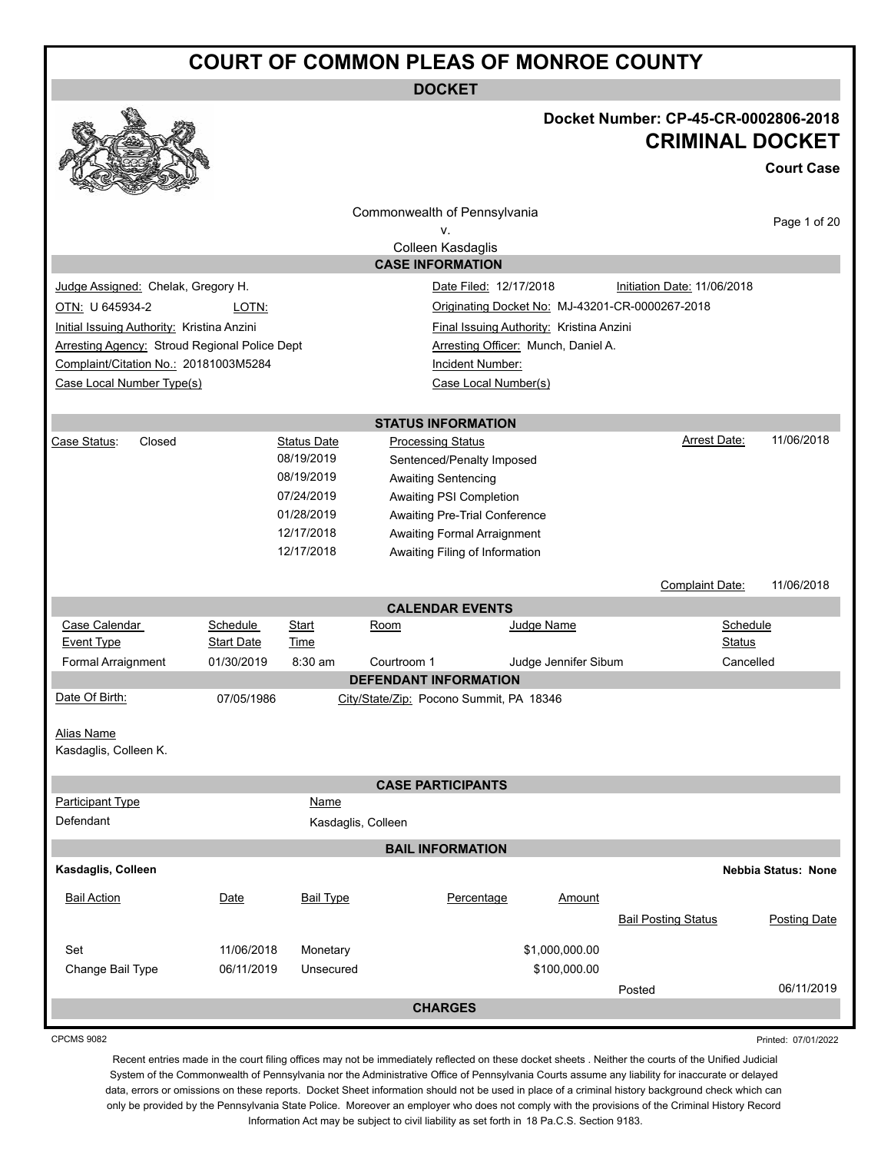**DOCKET**

### **Docket Number: CP-45-CR-0002806-2018 CRIMINAL DOCKET**

**Court Case**

| ឃ<br><b>COLLEGE DESCRIPTION</b><br><b>Contractions</b> |                               |                      |                                         |                        |                                          |                                                 |                     |
|--------------------------------------------------------|-------------------------------|----------------------|-----------------------------------------|------------------------|------------------------------------------|-------------------------------------------------|---------------------|
|                                                        |                               |                      | Commonwealth of Pennsylvania            |                        |                                          |                                                 |                     |
|                                                        |                               |                      | v.                                      |                        |                                          |                                                 | Page 1 of 20        |
|                                                        |                               |                      | Colleen Kasdaglis                       |                        |                                          |                                                 |                     |
|                                                        |                               |                      | <b>CASE INFORMATION</b>                 |                        |                                          |                                                 |                     |
| Judge Assigned: Chelak, Gregory H.                     |                               |                      |                                         | Date Filed: 12/17/2018 |                                          | Initiation Date: 11/06/2018                     |                     |
| OTN: U 645934-2                                        | LOTN:                         |                      |                                         |                        |                                          | Originating Docket No: MJ-43201-CR-0000267-2018 |                     |
| Initial Issuing Authority: Kristina Anzini             |                               |                      |                                         |                        | Final Issuing Authority: Kristina Anzini |                                                 |                     |
| <b>Arresting Agency: Stroud Regional Police Dept</b>   |                               |                      |                                         |                        | Arresting Officer: Munch, Daniel A.      |                                                 |                     |
| Complaint/Citation No.: 20181003M5284                  |                               |                      |                                         | Incident Number:       |                                          |                                                 |                     |
| Case Local Number Type(s)                              |                               |                      |                                         | Case Local Number(s)   |                                          |                                                 |                     |
|                                                        |                               |                      |                                         |                        |                                          |                                                 |                     |
|                                                        |                               |                      | <b>STATUS INFORMATION</b>               |                        |                                          |                                                 |                     |
| Case Status:<br>Closed                                 |                               | <b>Status Date</b>   | <b>Processing Status</b>                |                        |                                          | Arrest Date:                                    | 11/06/2018          |
|                                                        |                               | 08/19/2019           | Sentenced/Penalty Imposed               |                        |                                          |                                                 |                     |
|                                                        |                               | 08/19/2019           | Awaiting Sentencing                     |                        |                                          |                                                 |                     |
|                                                        |                               | 07/24/2019           | Awaiting PSI Completion                 |                        |                                          |                                                 |                     |
|                                                        |                               | 01/28/2019           | Awaiting Pre-Trial Conference           |                        |                                          |                                                 |                     |
|                                                        |                               | 12/17/2018           | Awaiting Formal Arraignment             |                        |                                          |                                                 |                     |
|                                                        |                               | 12/17/2018           | Awaiting Filing of Information          |                        |                                          |                                                 |                     |
|                                                        |                               |                      |                                         |                        |                                          | Complaint Date:                                 | 11/06/2018          |
|                                                        |                               |                      |                                         |                        |                                          |                                                 |                     |
|                                                        |                               |                      | <b>CALENDAR EVENTS</b>                  |                        |                                          |                                                 |                     |
| Case Calendar<br><b>Event Type</b>                     | Schedule<br><b>Start Date</b> | Start<br><b>Time</b> | Room                                    |                        | Judge Name                               | <b>Status</b>                                   | Schedule            |
| Formal Arraignment                                     | 01/30/2019                    | 8:30 am              | Courtroom 1                             |                        | Judge Jennifer Sibum                     |                                                 | Cancelled           |
|                                                        |                               |                      | <b>DEFENDANT INFORMATION</b>            |                        |                                          |                                                 |                     |
| Date Of Birth:                                         | 07/05/1986                    |                      | City/State/Zip: Pocono Summit, PA 18346 |                        |                                          |                                                 |                     |
|                                                        |                               |                      |                                         |                        |                                          |                                                 |                     |
| Alias Name                                             |                               |                      |                                         |                        |                                          |                                                 |                     |
| Kasdaglis, Colleen K.                                  |                               |                      |                                         |                        |                                          |                                                 |                     |
|                                                        |                               |                      |                                         |                        |                                          |                                                 |                     |
|                                                        |                               |                      | <b>CASE PARTICIPANTS</b>                |                        |                                          |                                                 |                     |
| Participant Type                                       |                               | Name                 |                                         |                        |                                          |                                                 |                     |
| Defendant                                              |                               | Kasdaglis, Colleen   |                                         |                        |                                          |                                                 |                     |
|                                                        |                               |                      | <b>BAIL INFORMATION</b>                 |                        |                                          |                                                 |                     |
| Kasdaglis, Colleen                                     |                               |                      |                                         |                        |                                          |                                                 | Nebbia Status: None |
|                                                        |                               |                      |                                         |                        |                                          |                                                 |                     |
| <b>Bail Action</b>                                     | Date                          | <b>Bail Type</b>     |                                         | Percentage             | Amount                                   |                                                 |                     |
|                                                        |                               |                      |                                         |                        |                                          | <b>Bail Posting Status</b>                      | <b>Posting Date</b> |
| Set                                                    | 11/06/2018                    | Monetary             |                                         |                        | \$1,000,000.00                           |                                                 |                     |
| Change Bail Type                                       | 06/11/2019                    | Unsecured            |                                         |                        | \$100,000.00                             |                                                 |                     |
|                                                        |                               |                      |                                         |                        |                                          | Posted                                          | 06/11/2019          |
|                                                        |                               |                      | <b>CHARGES</b>                          |                        |                                          |                                                 |                     |
|                                                        |                               |                      |                                         |                        |                                          |                                                 |                     |

CPCMS 9082

Printed: 07/01/2022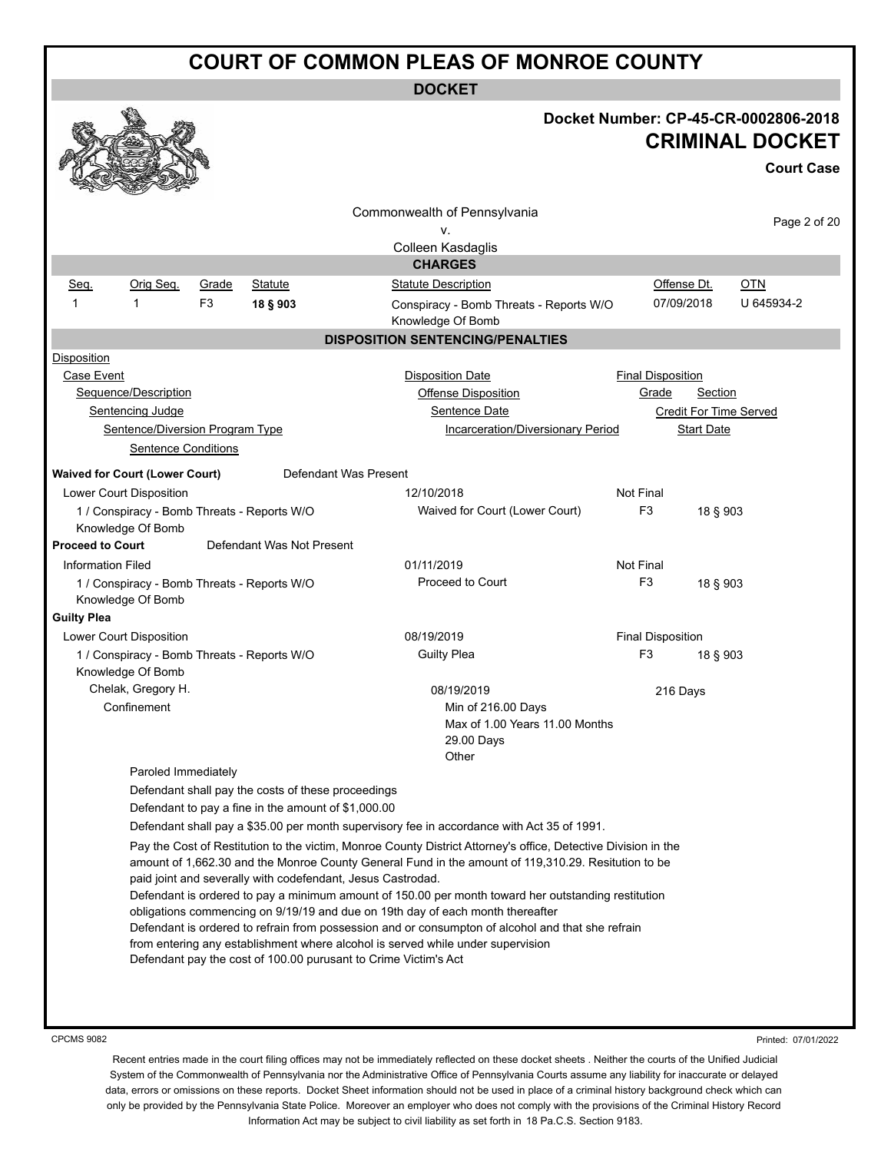**DOCKET**

|                          |                                                                  |                |                                                     |                                                                                                                |                            | Docket Number: CP-45-CR-0002806-2018<br><b>CRIMINAL DOCKET</b> |
|--------------------------|------------------------------------------------------------------|----------------|-----------------------------------------------------|----------------------------------------------------------------------------------------------------------------|----------------------------|----------------------------------------------------------------|
|                          |                                                                  |                |                                                     |                                                                                                                |                            | <b>Court Case</b>                                              |
|                          |                                                                  |                |                                                     | Commonwealth of Pennsylvania<br>v.                                                                             |                            | Page 2 of 20                                                   |
|                          |                                                                  |                |                                                     | Colleen Kasdaglis<br><b>CHARGES</b>                                                                            |                            |                                                                |
| Seq.                     | Orig Seq.                                                        | Grade          | <b>Statute</b>                                      | <b>Statute Description</b>                                                                                     | Offense Dt.                | <u>OTN</u>                                                     |
| 1                        | 1                                                                | F <sub>3</sub> | 18 § 903                                            | Conspiracy - Bomb Threats - Reports W/O<br>Knowledge Of Bomb                                                   | 07/09/2018                 | U 645934-2                                                     |
|                          |                                                                  |                |                                                     | <b>DISPOSITION SENTENCING/PENALTIES</b>                                                                        |                            |                                                                |
| Disposition              |                                                                  |                |                                                     |                                                                                                                |                            |                                                                |
| Case Event               |                                                                  |                |                                                     | <b>Disposition Date</b>                                                                                        | <b>Final Disposition</b>   |                                                                |
|                          | Sequence/Description                                             |                |                                                     | Offense Disposition                                                                                            | Grade<br>Section           |                                                                |
|                          | Sentencing Judge                                                 |                |                                                     | Sentence Date                                                                                                  | Credit For Time Served     |                                                                |
|                          | Sentence/Diversion Program Type                                  |                |                                                     | Incarceration/Diversionary Period                                                                              | <b>Start Date</b>          |                                                                |
|                          | <b>Sentence Conditions</b>                                       |                |                                                     |                                                                                                                |                            |                                                                |
|                          | <b>Waived for Court (Lower Court)</b>                            |                |                                                     | Defendant Was Present                                                                                          |                            |                                                                |
|                          | Lower Court Disposition                                          |                |                                                     | 12/10/2018                                                                                                     | Not Final                  |                                                                |
|                          | 1 / Conspiracy - Bomb Threats - Reports W/O                      |                |                                                     | Waived for Court (Lower Court)                                                                                 | F <sub>3</sub><br>18 § 903 |                                                                |
|                          | Knowledge Of Bomb                                                |                |                                                     |                                                                                                                |                            |                                                                |
| <b>Proceed to Court</b>  |                                                                  |                | Defendant Was Not Present                           |                                                                                                                |                            |                                                                |
| <b>Information Filed</b> |                                                                  |                |                                                     | 01/11/2019                                                                                                     | Not Final                  |                                                                |
|                          | 1 / Conspiracy - Bomb Threats - Reports W/O                      |                |                                                     | Proceed to Court                                                                                               | F <sub>3</sub><br>18 § 903 |                                                                |
|                          | Knowledge Of Bomb                                                |                |                                                     |                                                                                                                |                            |                                                                |
| <b>Guilty Plea</b>       |                                                                  |                |                                                     |                                                                                                                |                            |                                                                |
|                          | Lower Court Disposition                                          |                |                                                     | 08/19/2019                                                                                                     | <b>Final Disposition</b>   |                                                                |
|                          | 1 / Conspiracy - Bomb Threats - Reports W/O<br>Knowledge Of Bomb |                |                                                     | <b>Guilty Plea</b>                                                                                             | F3<br>18 § 903             |                                                                |
|                          | Chelak, Gregory H.                                               |                |                                                     | 08/19/2019                                                                                                     | 216 Days                   |                                                                |
|                          | Confinement                                                      |                |                                                     | Min of 216.00 Days<br>Max of 1.00 Years 11.00 Months<br>29.00 Days                                             |                            |                                                                |
|                          | Paroled Immediately                                              |                |                                                     | Other                                                                                                          |                            |                                                                |
|                          |                                                                  |                | Defendant shall pay the costs of these proceedings  |                                                                                                                |                            |                                                                |
|                          |                                                                  |                | Defendant to pay a fine in the amount of \$1,000.00 |                                                                                                                |                            |                                                                |
|                          |                                                                  |                |                                                     | Defendant shall pay a \$35.00 per month supervisory fee in accordance with Act 35 of 1991.                     |                            |                                                                |
|                          |                                                                  |                |                                                     | Pay the Cost of Restitution to the victim, Monroe County District Attorney's office, Detective Division in the |                            |                                                                |
|                          |                                                                  |                |                                                     | amount of 1,662.30 and the Monroe County General Fund in the amount of 119,310.29. Resitution to be            |                            |                                                                |
|                          |                                                                  |                |                                                     | paid joint and severally with codefendant, Jesus Castrodad.                                                    |                            |                                                                |
|                          |                                                                  |                |                                                     | Defendant is ordered to pay a minimum amount of 150.00 per month toward her outstanding restitution            |                            |                                                                |
|                          |                                                                  |                |                                                     | obligations commencing on 9/19/19 and due on 19th day of each month thereafter                                 |                            |                                                                |
|                          |                                                                  |                |                                                     | Defendant is ordered to refrain from possession and or consumpton of alcohol and that she refrain              |                            |                                                                |
|                          |                                                                  |                |                                                     | from entering any establishment where alcohol is served while under supervision                                |                            |                                                                |
|                          |                                                                  |                |                                                     | Defendant pay the cost of 100.00 purusant to Crime Victim's Act                                                |                            |                                                                |
|                          |                                                                  |                |                                                     |                                                                                                                |                            |                                                                |

CPCMS 9082

Printed: 07/01/2022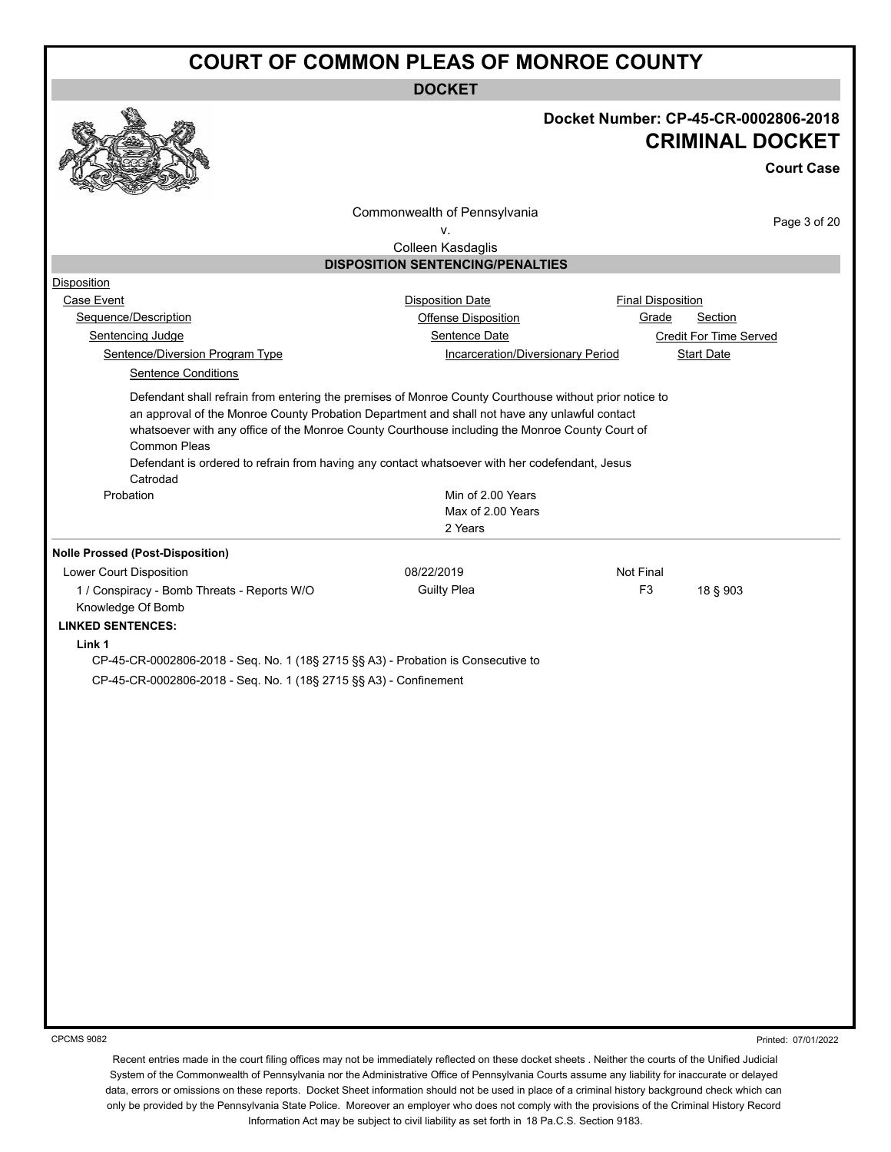**DOCKET**



## **Docket Number: CP-45-CR-0002806-2018 CRIMINAL DOCKET**

**Court Case**

Commonwealth of Pennsylvania

Page 3 of 20

v. Colleen Kasdaglis

#### **DISPOSITION SENTENCING/PENALTIES**

| <b>Disposition</b>                                                                                                                                                                                                                                                                                                                                                                                                                       |                                   |                               |
|------------------------------------------------------------------------------------------------------------------------------------------------------------------------------------------------------------------------------------------------------------------------------------------------------------------------------------------------------------------------------------------------------------------------------------------|-----------------------------------|-------------------------------|
| Case Event                                                                                                                                                                                                                                                                                                                                                                                                                               | <b>Disposition Date</b>           | <b>Final Disposition</b>      |
| Sequence/Description                                                                                                                                                                                                                                                                                                                                                                                                                     | Offense Disposition               | Section<br>Grade              |
| Sentencing Judge                                                                                                                                                                                                                                                                                                                                                                                                                         | Sentence Date                     | <b>Credit For Time Served</b> |
| Sentence/Diversion Program Type                                                                                                                                                                                                                                                                                                                                                                                                          | Incarceration/Diversionary Period | <b>Start Date</b>             |
| <b>Sentence Conditions</b>                                                                                                                                                                                                                                                                                                                                                                                                               |                                   |                               |
| Defendant shall refrain from entering the premises of Monroe County Courthouse without prior notice to<br>an approval of the Monroe County Probation Department and shall not have any unlawful contact<br>whatsoever with any office of the Monroe County Courthouse including the Monroe County Court of<br>Common Pleas<br>Defendant is ordered to refrain from having any contact whatsoever with her codefendant, Jesus<br>Catrodad |                                   |                               |
| Probation                                                                                                                                                                                                                                                                                                                                                                                                                                | Min of 2.00 Years                 |                               |
|                                                                                                                                                                                                                                                                                                                                                                                                                                          | Max of 2.00 Years                 |                               |
|                                                                                                                                                                                                                                                                                                                                                                                                                                          | 2 Years                           |                               |
| <b>Nolle Prossed (Post-Disposition)</b>                                                                                                                                                                                                                                                                                                                                                                                                  |                                   |                               |
| Lower Court Disposition                                                                                                                                                                                                                                                                                                                                                                                                                  | 08/22/2019                        | Not Final                     |
| 1 / Conspiracy - Bomb Threats - Reports W/O<br>Knowledge Of Bomb                                                                                                                                                                                                                                                                                                                                                                         | <b>Guilty Plea</b>                | F <sub>3</sub><br>18 § 903    |
| <b>LINKED SENTENCES:</b>                                                                                                                                                                                                                                                                                                                                                                                                                 |                                   |                               |
| Link 1                                                                                                                                                                                                                                                                                                                                                                                                                                   |                                   |                               |
| CP-45-CR-0002806-2018 - Seq. No. 1 (18§ 2715 §§ A3) - Probation is Consecutive to                                                                                                                                                                                                                                                                                                                                                        |                                   |                               |
| CP-45-CR-0002806-2018 - Seq. No. 1 (18§ 2715 §§ A3) - Confinement                                                                                                                                                                                                                                                                                                                                                                        |                                   |                               |
|                                                                                                                                                                                                                                                                                                                                                                                                                                          |                                   |                               |
|                                                                                                                                                                                                                                                                                                                                                                                                                                          |                                   |                               |
|                                                                                                                                                                                                                                                                                                                                                                                                                                          |                                   |                               |
|                                                                                                                                                                                                                                                                                                                                                                                                                                          |                                   |                               |
|                                                                                                                                                                                                                                                                                                                                                                                                                                          |                                   |                               |
|                                                                                                                                                                                                                                                                                                                                                                                                                                          |                                   |                               |
|                                                                                                                                                                                                                                                                                                                                                                                                                                          |                                   |                               |
|                                                                                                                                                                                                                                                                                                                                                                                                                                          |                                   |                               |
|                                                                                                                                                                                                                                                                                                                                                                                                                                          |                                   |                               |
|                                                                                                                                                                                                                                                                                                                                                                                                                                          |                                   |                               |
|                                                                                                                                                                                                                                                                                                                                                                                                                                          |                                   |                               |
|                                                                                                                                                                                                                                                                                                                                                                                                                                          |                                   |                               |
|                                                                                                                                                                                                                                                                                                                                                                                                                                          |                                   |                               |
|                                                                                                                                                                                                                                                                                                                                                                                                                                          |                                   |                               |
|                                                                                                                                                                                                                                                                                                                                                                                                                                          |                                   |                               |

CPCMS 9082

Printed: 07/01/2022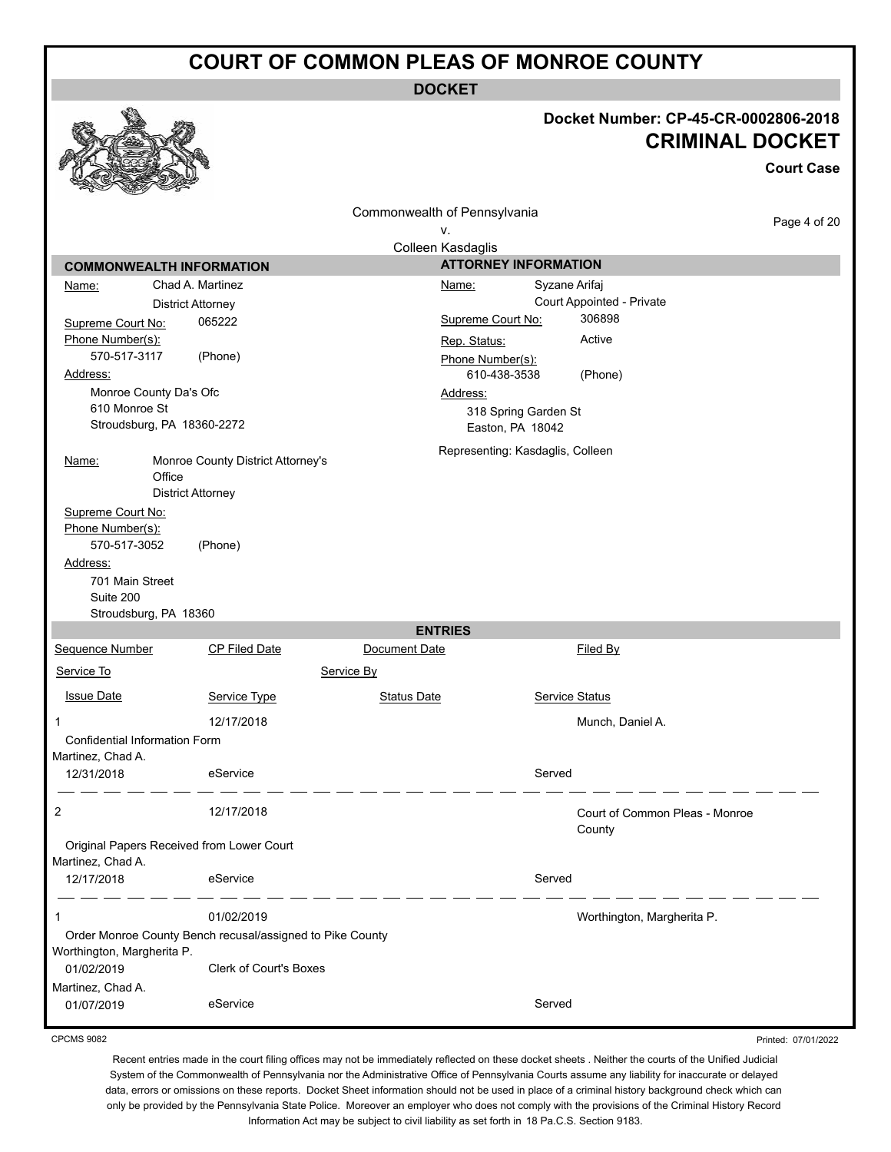**DOCKET**

| Commonwealth of Pennsylvania<br>Page 4 of 20<br>۷.<br>Colleen Kasdaglis<br><b>ATTORNEY INFORMATION</b><br><b>COMMONWEALTH INFORMATION</b><br>Chad A. Martinez<br>Syzane Arifaj<br>Name:<br>Name:<br>Court Appointed - Private<br><b>District Attorney</b><br>306898<br>Supreme Court No:<br>065222<br>Supreme Court No:<br>Phone Number(s):<br>Active<br>Rep. Status:<br>570-517-3117<br>(Phone)<br>Phone Number(s):<br>610-438-3538<br>Address:<br>(Phone)<br>Monroe County Da's Ofc<br>Address:<br>610 Monroe St<br>318 Spring Garden St<br>Stroudsburg, PA 18360-2272<br>Easton, PA 18042<br>Representing: Kasdaglis, Colleen<br>Monroe County District Attorney's<br>Name:<br>Office<br><b>District Attorney</b><br>Supreme Court No:<br>Phone Number(s):<br>570-517-3052<br>(Phone)<br>Address:<br>701 Main Street<br>Suite 200<br>Stroudsburg, PA 18360<br><b>ENTRIES</b><br>Sequence Number<br><b>CP Filed Date</b><br>Document Date<br>Filed By<br>Service To<br>Service By<br><b>Issue Date</b><br>Service Type<br><b>Status Date</b><br>Service Status<br>12/17/2018<br>Munch, Daniel A.<br>1<br>Confidential Information Form<br>Martinez, Chad A.<br>Served<br>12/31/2018<br>eService<br>2<br>12/17/2018<br>Court of Common Pleas - Monroe<br>County<br>Original Papers Received from Lower Court<br>Martinez, Chad A.<br>eService<br>Served<br>12/17/2018<br>1<br>01/02/2019<br>Worthington, Margherita P.<br>Order Monroe County Bench recusal/assigned to Pike County<br>Worthington, Margherita P.<br><b>Clerk of Court's Boxes</b><br>01/02/2019<br>Martinez, Chad A. |            |          |        | Docket Number: CP-45-CR-0002806-2018 | <b>CRIMINAL DOCKET</b><br><b>Court Case</b> |
|----------------------------------------------------------------------------------------------------------------------------------------------------------------------------------------------------------------------------------------------------------------------------------------------------------------------------------------------------------------------------------------------------------------------------------------------------------------------------------------------------------------------------------------------------------------------------------------------------------------------------------------------------------------------------------------------------------------------------------------------------------------------------------------------------------------------------------------------------------------------------------------------------------------------------------------------------------------------------------------------------------------------------------------------------------------------------------------------------------------------------------------------------------------------------------------------------------------------------------------------------------------------------------------------------------------------------------------------------------------------------------------------------------------------------------------------------------------------------------------------------------------------------------------------------------------------------------------|------------|----------|--------|--------------------------------------|---------------------------------------------|
|                                                                                                                                                                                                                                                                                                                                                                                                                                                                                                                                                                                                                                                                                                                                                                                                                                                                                                                                                                                                                                                                                                                                                                                                                                                                                                                                                                                                                                                                                                                                                                                        |            |          |        |                                      |                                             |
|                                                                                                                                                                                                                                                                                                                                                                                                                                                                                                                                                                                                                                                                                                                                                                                                                                                                                                                                                                                                                                                                                                                                                                                                                                                                                                                                                                                                                                                                                                                                                                                        |            |          |        |                                      |                                             |
|                                                                                                                                                                                                                                                                                                                                                                                                                                                                                                                                                                                                                                                                                                                                                                                                                                                                                                                                                                                                                                                                                                                                                                                                                                                                                                                                                                                                                                                                                                                                                                                        |            |          |        |                                      |                                             |
|                                                                                                                                                                                                                                                                                                                                                                                                                                                                                                                                                                                                                                                                                                                                                                                                                                                                                                                                                                                                                                                                                                                                                                                                                                                                                                                                                                                                                                                                                                                                                                                        |            |          |        |                                      |                                             |
|                                                                                                                                                                                                                                                                                                                                                                                                                                                                                                                                                                                                                                                                                                                                                                                                                                                                                                                                                                                                                                                                                                                                                                                                                                                                                                                                                                                                                                                                                                                                                                                        |            |          |        |                                      |                                             |
|                                                                                                                                                                                                                                                                                                                                                                                                                                                                                                                                                                                                                                                                                                                                                                                                                                                                                                                                                                                                                                                                                                                                                                                                                                                                                                                                                                                                                                                                                                                                                                                        |            |          |        |                                      |                                             |
|                                                                                                                                                                                                                                                                                                                                                                                                                                                                                                                                                                                                                                                                                                                                                                                                                                                                                                                                                                                                                                                                                                                                                                                                                                                                                                                                                                                                                                                                                                                                                                                        |            |          |        |                                      |                                             |
|                                                                                                                                                                                                                                                                                                                                                                                                                                                                                                                                                                                                                                                                                                                                                                                                                                                                                                                                                                                                                                                                                                                                                                                                                                                                                                                                                                                                                                                                                                                                                                                        |            |          |        |                                      |                                             |
|                                                                                                                                                                                                                                                                                                                                                                                                                                                                                                                                                                                                                                                                                                                                                                                                                                                                                                                                                                                                                                                                                                                                                                                                                                                                                                                                                                                                                                                                                                                                                                                        |            |          |        |                                      |                                             |
|                                                                                                                                                                                                                                                                                                                                                                                                                                                                                                                                                                                                                                                                                                                                                                                                                                                                                                                                                                                                                                                                                                                                                                                                                                                                                                                                                                                                                                                                                                                                                                                        |            |          |        |                                      |                                             |
|                                                                                                                                                                                                                                                                                                                                                                                                                                                                                                                                                                                                                                                                                                                                                                                                                                                                                                                                                                                                                                                                                                                                                                                                                                                                                                                                                                                                                                                                                                                                                                                        |            |          |        |                                      |                                             |
|                                                                                                                                                                                                                                                                                                                                                                                                                                                                                                                                                                                                                                                                                                                                                                                                                                                                                                                                                                                                                                                                                                                                                                                                                                                                                                                                                                                                                                                                                                                                                                                        |            |          |        |                                      |                                             |
|                                                                                                                                                                                                                                                                                                                                                                                                                                                                                                                                                                                                                                                                                                                                                                                                                                                                                                                                                                                                                                                                                                                                                                                                                                                                                                                                                                                                                                                                                                                                                                                        |            |          |        |                                      |                                             |
|                                                                                                                                                                                                                                                                                                                                                                                                                                                                                                                                                                                                                                                                                                                                                                                                                                                                                                                                                                                                                                                                                                                                                                                                                                                                                                                                                                                                                                                                                                                                                                                        |            |          |        |                                      |                                             |
|                                                                                                                                                                                                                                                                                                                                                                                                                                                                                                                                                                                                                                                                                                                                                                                                                                                                                                                                                                                                                                                                                                                                                                                                                                                                                                                                                                                                                                                                                                                                                                                        |            |          |        |                                      |                                             |
|                                                                                                                                                                                                                                                                                                                                                                                                                                                                                                                                                                                                                                                                                                                                                                                                                                                                                                                                                                                                                                                                                                                                                                                                                                                                                                                                                                                                                                                                                                                                                                                        |            |          |        |                                      |                                             |
|                                                                                                                                                                                                                                                                                                                                                                                                                                                                                                                                                                                                                                                                                                                                                                                                                                                                                                                                                                                                                                                                                                                                                                                                                                                                                                                                                                                                                                                                                                                                                                                        |            |          |        |                                      |                                             |
|                                                                                                                                                                                                                                                                                                                                                                                                                                                                                                                                                                                                                                                                                                                                                                                                                                                                                                                                                                                                                                                                                                                                                                                                                                                                                                                                                                                                                                                                                                                                                                                        |            |          |        |                                      |                                             |
|                                                                                                                                                                                                                                                                                                                                                                                                                                                                                                                                                                                                                                                                                                                                                                                                                                                                                                                                                                                                                                                                                                                                                                                                                                                                                                                                                                                                                                                                                                                                                                                        |            |          |        |                                      |                                             |
|                                                                                                                                                                                                                                                                                                                                                                                                                                                                                                                                                                                                                                                                                                                                                                                                                                                                                                                                                                                                                                                                                                                                                                                                                                                                                                                                                                                                                                                                                                                                                                                        |            |          |        |                                      |                                             |
|                                                                                                                                                                                                                                                                                                                                                                                                                                                                                                                                                                                                                                                                                                                                                                                                                                                                                                                                                                                                                                                                                                                                                                                                                                                                                                                                                                                                                                                                                                                                                                                        |            |          |        |                                      |                                             |
|                                                                                                                                                                                                                                                                                                                                                                                                                                                                                                                                                                                                                                                                                                                                                                                                                                                                                                                                                                                                                                                                                                                                                                                                                                                                                                                                                                                                                                                                                                                                                                                        |            |          |        |                                      |                                             |
|                                                                                                                                                                                                                                                                                                                                                                                                                                                                                                                                                                                                                                                                                                                                                                                                                                                                                                                                                                                                                                                                                                                                                                                                                                                                                                                                                                                                                                                                                                                                                                                        |            |          |        |                                      |                                             |
|                                                                                                                                                                                                                                                                                                                                                                                                                                                                                                                                                                                                                                                                                                                                                                                                                                                                                                                                                                                                                                                                                                                                                                                                                                                                                                                                                                                                                                                                                                                                                                                        |            |          |        |                                      |                                             |
|                                                                                                                                                                                                                                                                                                                                                                                                                                                                                                                                                                                                                                                                                                                                                                                                                                                                                                                                                                                                                                                                                                                                                                                                                                                                                                                                                                                                                                                                                                                                                                                        |            |          |        |                                      |                                             |
|                                                                                                                                                                                                                                                                                                                                                                                                                                                                                                                                                                                                                                                                                                                                                                                                                                                                                                                                                                                                                                                                                                                                                                                                                                                                                                                                                                                                                                                                                                                                                                                        |            |          |        |                                      |                                             |
|                                                                                                                                                                                                                                                                                                                                                                                                                                                                                                                                                                                                                                                                                                                                                                                                                                                                                                                                                                                                                                                                                                                                                                                                                                                                                                                                                                                                                                                                                                                                                                                        |            |          |        |                                      |                                             |
|                                                                                                                                                                                                                                                                                                                                                                                                                                                                                                                                                                                                                                                                                                                                                                                                                                                                                                                                                                                                                                                                                                                                                                                                                                                                                                                                                                                                                                                                                                                                                                                        |            |          |        |                                      |                                             |
|                                                                                                                                                                                                                                                                                                                                                                                                                                                                                                                                                                                                                                                                                                                                                                                                                                                                                                                                                                                                                                                                                                                                                                                                                                                                                                                                                                                                                                                                                                                                                                                        |            |          |        |                                      |                                             |
|                                                                                                                                                                                                                                                                                                                                                                                                                                                                                                                                                                                                                                                                                                                                                                                                                                                                                                                                                                                                                                                                                                                                                                                                                                                                                                                                                                                                                                                                                                                                                                                        |            |          |        |                                      |                                             |
|                                                                                                                                                                                                                                                                                                                                                                                                                                                                                                                                                                                                                                                                                                                                                                                                                                                                                                                                                                                                                                                                                                                                                                                                                                                                                                                                                                                                                                                                                                                                                                                        | 01/07/2019 | eService | Served |                                      |                                             |

CPCMS 9082

Recent entries made in the court filing offices may not be immediately reflected on these docket sheets . Neither the courts of the Unified Judicial System of the Commonwealth of Pennsylvania nor the Administrative Office of Pennsylvania Courts assume any liability for inaccurate or delayed data, errors or omissions on these reports. Docket Sheet information should not be used in place of a criminal history background check which can only be provided by the Pennsylvania State Police. Moreover an employer who does not comply with the provisions of the Criminal History Record Information Act may be subject to civil liability as set forth in 18 Pa.C.S. Section 9183.

Printed: 07/01/2022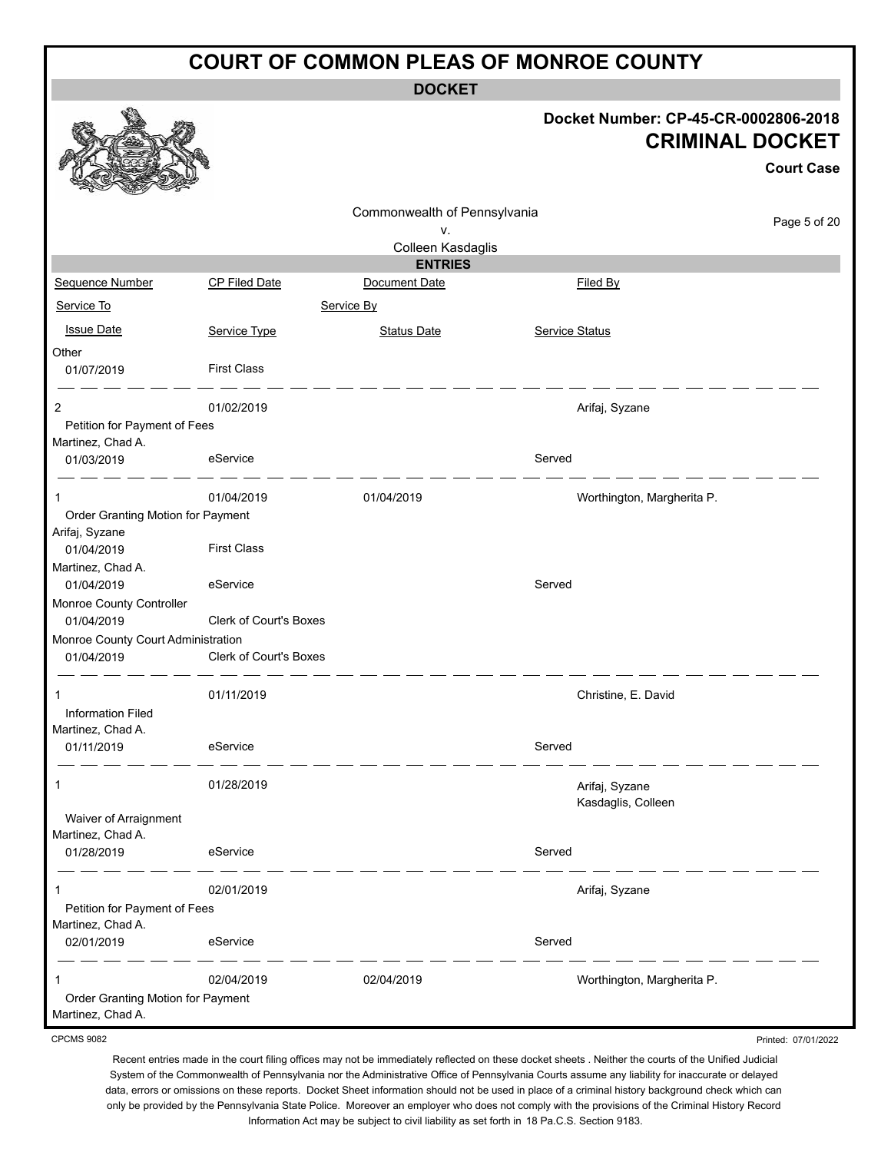**DOCKET**

|                                                        |                        | <b>DOCKET</b>                |                |                                                                                     |
|--------------------------------------------------------|------------------------|------------------------------|----------------|-------------------------------------------------------------------------------------|
|                                                        |                        |                              |                | Docket Number: CP-45-CR-0002806-2018<br><b>CRIMINAL DOCKET</b><br><b>Court Case</b> |
|                                                        |                        | Commonwealth of Pennsylvania |                | Page 5 of 20                                                                        |
|                                                        |                        | v.                           |                |                                                                                     |
|                                                        |                        | Colleen Kasdaglis            |                |                                                                                     |
|                                                        |                        | <b>ENTRIES</b>               |                |                                                                                     |
| Sequence Number                                        | CP Filed Date          | Document Date                |                | Filed By                                                                            |
| Service To                                             |                        | Service By                   |                |                                                                                     |
| <b>Issue Date</b>                                      | Service Type           | <b>Status Date</b>           | Service Status |                                                                                     |
| Other                                                  |                        |                              |                |                                                                                     |
| 01/07/2019                                             | <b>First Class</b>     |                              |                |                                                                                     |
| 2                                                      | 01/02/2019             |                              |                | Arifaj, Syzane                                                                      |
| Petition for Payment of Fees<br>Martinez, Chad A.      |                        |                              |                |                                                                                     |
| 01/03/2019                                             | eService               |                              | Served         |                                                                                     |
| 1                                                      | 01/04/2019             | 01/04/2019                   |                | Worthington, Margherita P.                                                          |
| Order Granting Motion for Payment<br>Arifaj, Syzane    |                        |                              |                |                                                                                     |
| 01/04/2019                                             | <b>First Class</b>     |                              |                |                                                                                     |
| Martinez, Chad A.                                      |                        |                              |                |                                                                                     |
| 01/04/2019                                             | eService               |                              | Served         |                                                                                     |
| Monroe County Controller<br>01/04/2019                 | Clerk of Court's Boxes |                              |                |                                                                                     |
| Monroe County Court Administration                     |                        |                              |                |                                                                                     |
| 01/04/2019                                             | Clerk of Court's Boxes |                              |                |                                                                                     |
| 1                                                      | 01/11/2019             |                              |                | Christine, E. David                                                                 |
| <b>Information Filed</b><br>Martinez, Chad A.          |                        |                              |                |                                                                                     |
| 01/11/2019                                             | eService               |                              | Served         |                                                                                     |
| 1                                                      | 01/28/2019             |                              |                | Arifaj, Syzane                                                                      |
|                                                        |                        |                              |                | Kasdaglis, Colleen                                                                  |
| Waiver of Arraignment<br>Martinez, Chad A.             |                        |                              |                |                                                                                     |
| 01/28/2019                                             | eService               |                              | Served         |                                                                                     |
|                                                        | 02/01/2019             |                              |                |                                                                                     |
| 1<br>Petition for Payment of Fees                      |                        |                              |                | Arifaj, Syzane                                                                      |
| Martinez, Chad A.                                      |                        |                              |                |                                                                                     |
| 02/01/2019                                             | eService               |                              | Served         |                                                                                     |
|                                                        | 02/04/2019             | 02/04/2019                   |                | Worthington, Margherita P.                                                          |
| Order Granting Motion for Payment<br>Martinez, Chad A. |                        |                              |                |                                                                                     |

CPCMS 9082

Recent entries made in the court filing offices may not be immediately reflected on these docket sheets . Neither the courts of the Unified Judicial System of the Commonwealth of Pennsylvania nor the Administrative Office of Pennsylvania Courts assume any liability for inaccurate or delayed data, errors or omissions on these reports. Docket Sheet information should not be used in place of a criminal history background check which can only be provided by the Pennsylvania State Police. Moreover an employer who does not comply with the provisions of the Criminal History Record Information Act may be subject to civil liability as set forth in 18 Pa.C.S. Section 9183.

Printed: 07/01/2022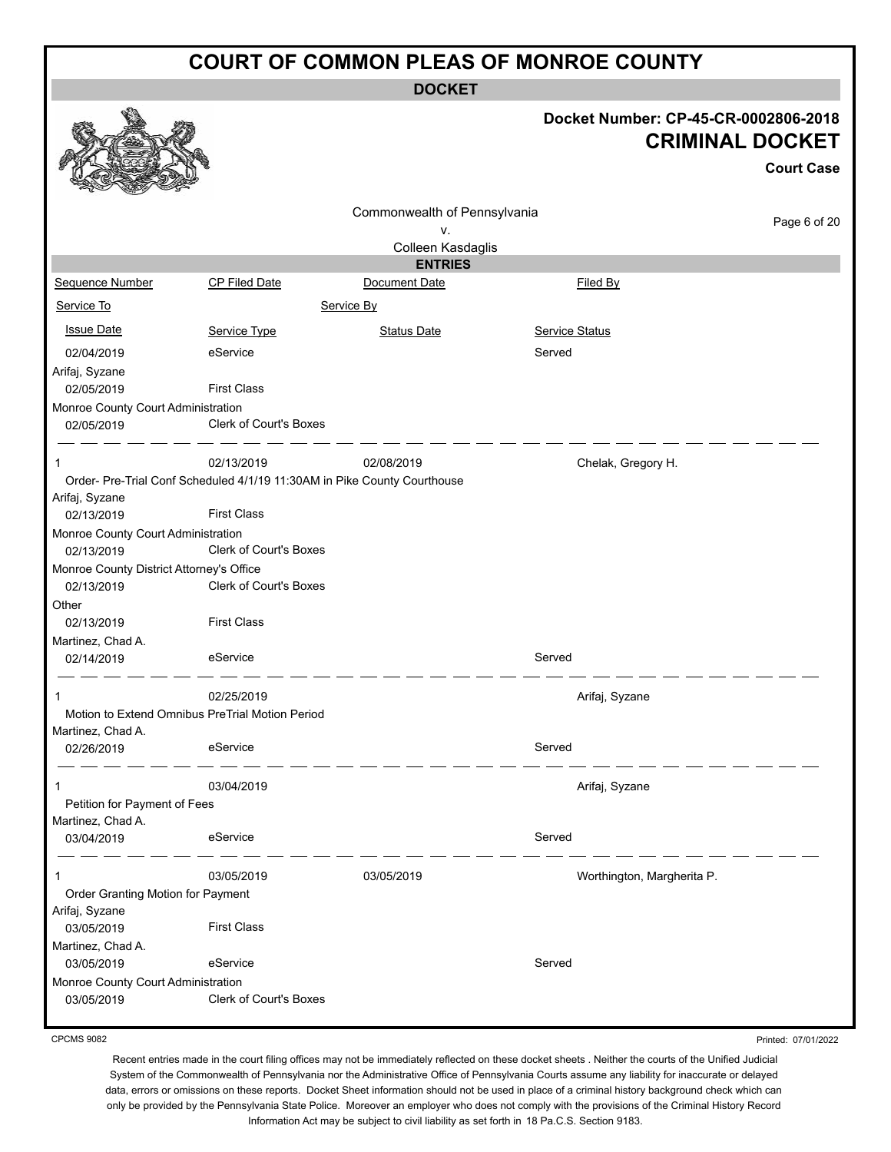|                                                        |                                                                          | <b>DOCKET</b>                   |                                                                |                   |
|--------------------------------------------------------|--------------------------------------------------------------------------|---------------------------------|----------------------------------------------------------------|-------------------|
|                                                        |                                                                          |                                 | Docket Number: CP-45-CR-0002806-2018<br><b>CRIMINAL DOCKET</b> | <b>Court Case</b> |
|                                                        |                                                                          | Commonwealth of Pennsylvania    |                                                                |                   |
|                                                        |                                                                          | ٧.                              |                                                                | Page 6 of 20      |
|                                                        |                                                                          | Colleen Kasdaglis               |                                                                |                   |
| Sequence Number                                        | <b>CP Filed Date</b>                                                     | <b>ENTRIES</b><br>Document Date | Filed By                                                       |                   |
|                                                        |                                                                          |                                 |                                                                |                   |
| Service To                                             |                                                                          | Service By                      |                                                                |                   |
| <b>Issue Date</b>                                      | Service Type                                                             | <b>Status Date</b>              | <b>Service Status</b>                                          |                   |
| 02/04/2019                                             | eService                                                                 |                                 | Served                                                         |                   |
| Arifaj, Syzane<br>02/05/2019                           | <b>First Class</b>                                                       |                                 |                                                                |                   |
| Monroe County Court Administration                     |                                                                          |                                 |                                                                |                   |
| 02/05/2019                                             | Clerk of Court's Boxes                                                   |                                 |                                                                |                   |
|                                                        | 02/13/2019                                                               | 02/08/2019                      | Chelak, Gregory H.                                             |                   |
|                                                        | Order- Pre-Trial Conf Scheduled 4/1/19 11:30AM in Pike County Courthouse |                                 |                                                                |                   |
| Arifaj, Syzane<br>02/13/2019                           | <b>First Class</b>                                                       |                                 |                                                                |                   |
| Monroe County Court Administration<br>02/13/2019       | Clerk of Court's Boxes                                                   |                                 |                                                                |                   |
| Monroe County District Attorney's Office<br>02/13/2019 | Clerk of Court's Boxes                                                   |                                 |                                                                |                   |
| Other                                                  |                                                                          |                                 |                                                                |                   |
| 02/13/2019                                             | <b>First Class</b>                                                       |                                 |                                                                |                   |
| Martinez, Chad A.<br>02/14/2019                        | eService                                                                 |                                 | Served                                                         |                   |
| 1                                                      | 02/25/2019                                                               |                                 |                                                                |                   |
|                                                        | Motion to Extend Omnibus PreTrial Motion Period                          |                                 | Arifaj, Syzane                                                 |                   |
| Martinez, Chad A.                                      |                                                                          |                                 |                                                                |                   |
| 02/26/2019                                             | eService                                                                 |                                 | Served                                                         |                   |
|                                                        | 03/04/2019                                                               |                                 | Arifaj, Syzane                                                 |                   |
| Petition for Payment of Fees                           |                                                                          |                                 |                                                                |                   |
| Martinez, Chad A.                                      |                                                                          |                                 |                                                                |                   |
| 03/04/2019                                             | eService                                                                 |                                 | Served                                                         |                   |
|                                                        | 03/05/2019                                                               | 03/05/2019                      | Worthington, Margherita P.                                     |                   |
| Order Granting Motion for Payment                      |                                                                          |                                 |                                                                |                   |
| Arifaj, Syzane<br>03/05/2019                           | <b>First Class</b>                                                       |                                 |                                                                |                   |
| Martinez, Chad A.                                      |                                                                          |                                 |                                                                |                   |
| 03/05/2019                                             | eService                                                                 |                                 | Served                                                         |                   |
| Monroe County Court Administration<br>03/05/2019       | <b>Clerk of Court's Boxes</b>                                            |                                 |                                                                |                   |
|                                                        |                                                                          |                                 |                                                                |                   |

CPCMS 9082

Printed: 07/01/2022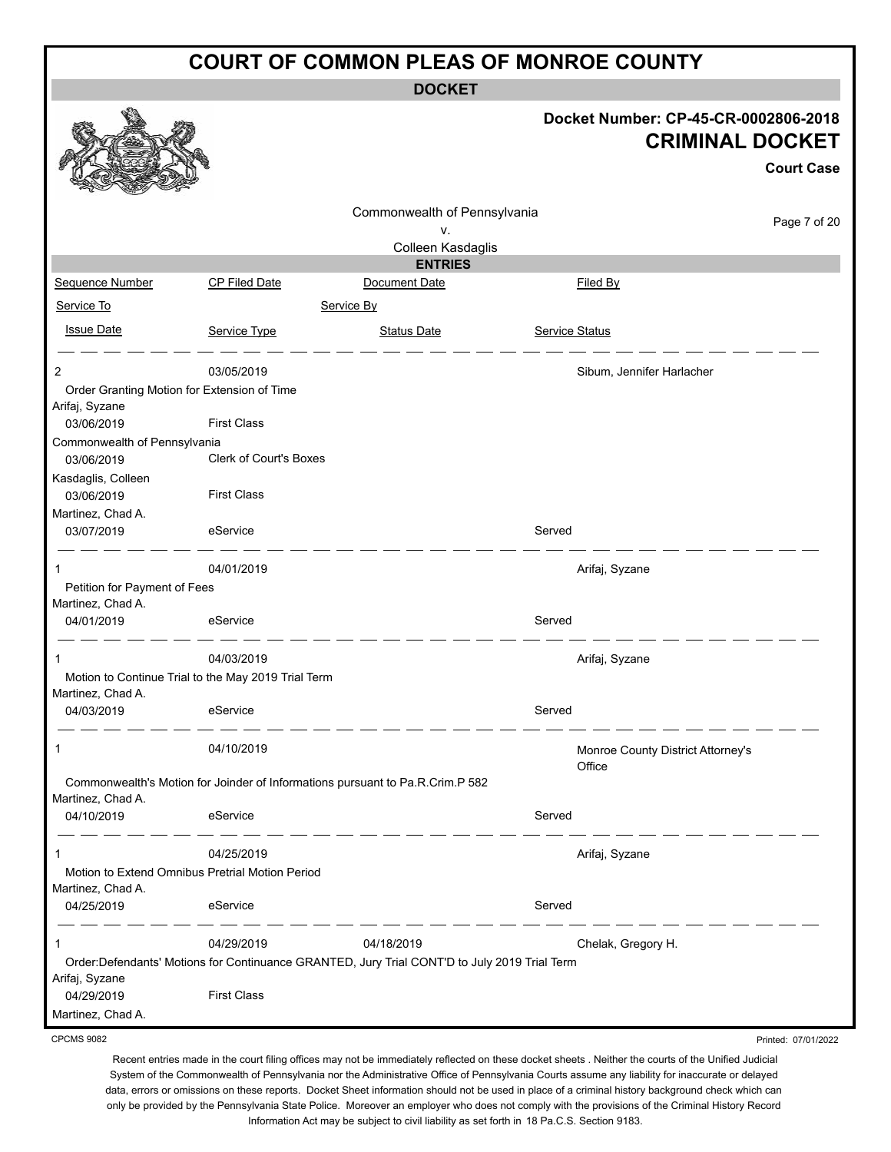**DOCKET**

|                                                   |                                                     |                                                                                              | Docket Number: CP-45-CR-0002806-2018 | <b>CRIMINAL DOCKET</b><br><b>Court Case</b> |
|---------------------------------------------------|-----------------------------------------------------|----------------------------------------------------------------------------------------------|--------------------------------------|---------------------------------------------|
|                                                   |                                                     | Commonwealth of Pennsylvania                                                                 |                                      | Page 7 of 20                                |
|                                                   |                                                     | ۷.<br>Colleen Kasdaglis                                                                      |                                      |                                             |
|                                                   |                                                     | <b>ENTRIES</b>                                                                               |                                      |                                             |
| Sequence Number                                   | <b>CP Filed Date</b>                                | Document Date                                                                                | <b>Filed By</b>                      |                                             |
| Service To                                        |                                                     | Service By                                                                                   |                                      |                                             |
| <b>Issue Date</b>                                 | Service Type                                        | <b>Status Date</b>                                                                           | <b>Service Status</b>                |                                             |
| 2                                                 | 03/05/2019                                          |                                                                                              | Sibum, Jennifer Harlacher            |                                             |
|                                                   | Order Granting Motion for Extension of Time         |                                                                                              |                                      |                                             |
| Arifaj, Syzane                                    |                                                     |                                                                                              |                                      |                                             |
| 03/06/2019                                        | <b>First Class</b>                                  |                                                                                              |                                      |                                             |
| Commonwealth of Pennsylvania                      | <b>Clerk of Court's Boxes</b>                       |                                                                                              |                                      |                                             |
| 03/06/2019                                        |                                                     |                                                                                              |                                      |                                             |
| Kasdaglis, Colleen<br>03/06/2019                  | <b>First Class</b>                                  |                                                                                              |                                      |                                             |
| Martinez, Chad A.                                 |                                                     |                                                                                              |                                      |                                             |
| 03/07/2019                                        | eService                                            |                                                                                              | Served                               |                                             |
| -1                                                | 04/01/2019                                          |                                                                                              | Arifaj, Syzane                       |                                             |
| Petition for Payment of Fees<br>Martinez, Chad A. |                                                     |                                                                                              |                                      |                                             |
| 04/01/2019                                        | eService                                            |                                                                                              | Served                               |                                             |
| $\mathbf 1$                                       | 04/03/2019                                          |                                                                                              | Arifaj, Syzane                       |                                             |
| Martinez, Chad A.                                 | Motion to Continue Trial to the May 2019 Trial Term |                                                                                              |                                      |                                             |
| 04/03/2019                                        | eService                                            |                                                                                              | Served                               |                                             |
| -1                                                | 04/10/2019                                          |                                                                                              | Monroe County District Attorney's    |                                             |
| Martinez, Chad A.                                 |                                                     | Commonwealth's Motion for Joinder of Informations pursuant to Pa.R.Crim.P 582                | Office                               |                                             |
| 04/10/2019                                        | eService                                            |                                                                                              | Served                               |                                             |
| $\mathbf 1$                                       | 04/25/2019                                          |                                                                                              | Arifaj, Syzane                       |                                             |
|                                                   | Motion to Extend Omnibus Pretrial Motion Period     |                                                                                              |                                      |                                             |
| Martinez, Chad A.                                 |                                                     |                                                                                              |                                      |                                             |
| 04/25/2019                                        | eService                                            |                                                                                              | Served                               |                                             |
| 1                                                 | 04/29/2019                                          | 04/18/2019                                                                                   | Chelak, Gregory H.                   |                                             |
| Arifaj, Syzane                                    |                                                     | Order:Defendants' Motions for Continuance GRANTED, Jury Trial CONT'D to July 2019 Trial Term |                                      |                                             |
| 04/29/2019                                        | <b>First Class</b>                                  |                                                                                              |                                      |                                             |
| Martinez, Chad A.                                 |                                                     |                                                                                              |                                      |                                             |
| <b>CPCMS 9082</b>                                 |                                                     |                                                                                              |                                      | Printed: 07/01/2022                         |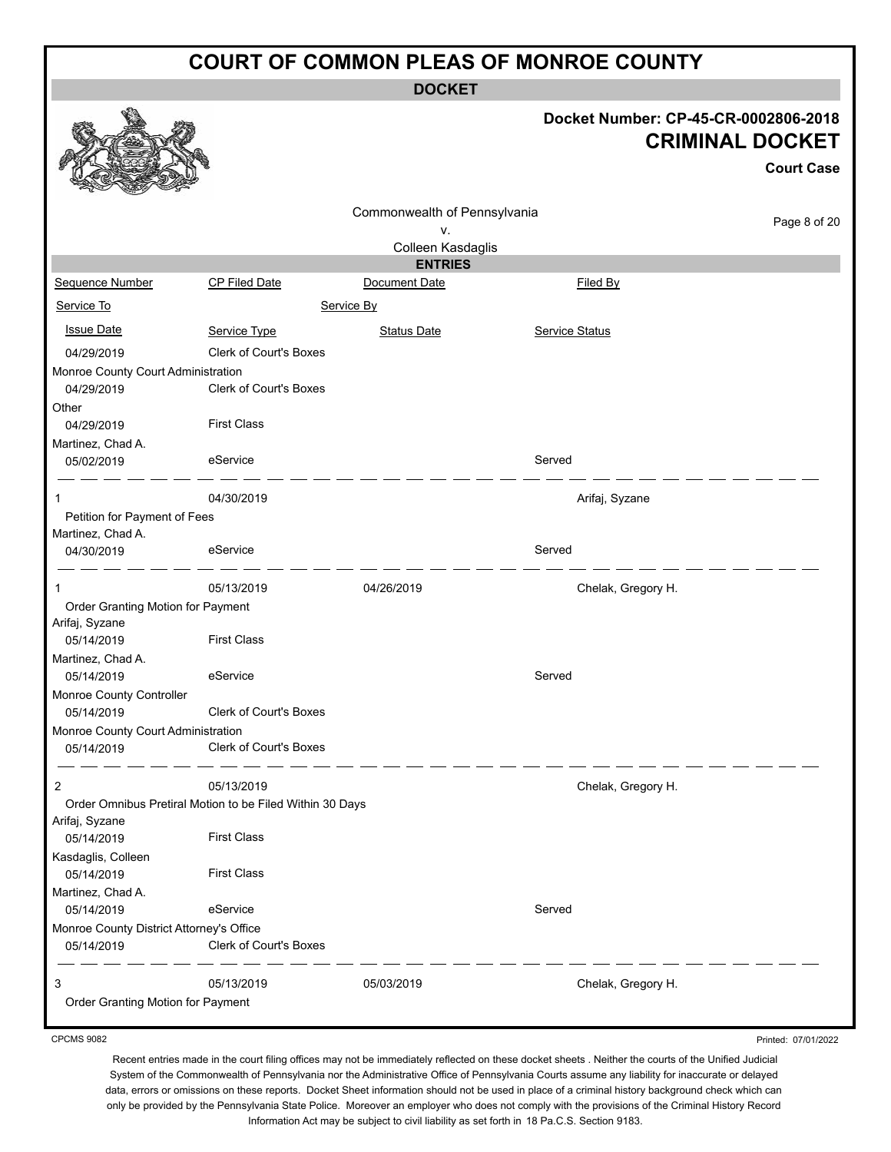**DOCKET**

## **Docket Number: CP-45-CR-0002806-2018 CRIMINAL DOCKET**

**Court Case**

Printed: 07/01/2022

|                                          |                                                          |                              |                    | <b>Court Case</b> |
|------------------------------------------|----------------------------------------------------------|------------------------------|--------------------|-------------------|
|                                          |                                                          | Commonwealth of Pennsylvania |                    | Page 8 of 20      |
|                                          |                                                          | ٧.                           |                    |                   |
|                                          |                                                          | Colleen Kasdaglis            |                    |                   |
|                                          |                                                          | <b>ENTRIES</b>               |                    |                   |
| Sequence Number                          | CP Filed Date                                            | Document Date                | Filed By           |                   |
| Service To                               |                                                          | Service By                   |                    |                   |
| <b>Issue Date</b>                        | Service Type                                             | <b>Status Date</b>           | Service Status     |                   |
| 04/29/2019                               | <b>Clerk of Court's Boxes</b>                            |                              |                    |                   |
| Monroe County Court Administration       |                                                          |                              |                    |                   |
| 04/29/2019                               | <b>Clerk of Court's Boxes</b>                            |                              |                    |                   |
| Other                                    |                                                          |                              |                    |                   |
| 04/29/2019                               | <b>First Class</b>                                       |                              |                    |                   |
| Martinez, Chad A.                        |                                                          |                              |                    |                   |
| 05/02/2019                               | eService                                                 |                              | Served             |                   |
| 1                                        | 04/30/2019                                               |                              | Arifaj, Syzane     |                   |
| Petition for Payment of Fees             |                                                          |                              |                    |                   |
| Martinez, Chad A.                        |                                                          |                              |                    |                   |
| 04/30/2019                               | eService                                                 |                              | Served             |                   |
| 1                                        | 05/13/2019                                               | 04/26/2019                   | Chelak, Gregory H. |                   |
| Order Granting Motion for Payment        |                                                          |                              |                    |                   |
| Arifaj, Syzane                           |                                                          |                              |                    |                   |
| 05/14/2019                               | <b>First Class</b>                                       |                              |                    |                   |
| Martinez, Chad A.                        |                                                          |                              |                    |                   |
| 05/14/2019                               | eService                                                 |                              | Served             |                   |
| Monroe County Controller                 |                                                          |                              |                    |                   |
| 05/14/2019                               | Clerk of Court's Boxes                                   |                              |                    |                   |
| Monroe County Court Administration       |                                                          |                              |                    |                   |
| 05/14/2019                               | <b>Clerk of Court's Boxes</b>                            |                              |                    |                   |
| $\overline{c}$                           | 05/13/2019                                               |                              | Chelak, Gregory H. |                   |
|                                          | Order Omnibus Pretiral Motion to be Filed Within 30 Days |                              |                    |                   |
| Arifaj, Syzane                           |                                                          |                              |                    |                   |
| 05/14/2019                               | <b>First Class</b>                                       |                              |                    |                   |
| Kasdaglis, Colleen                       |                                                          |                              |                    |                   |
| 05/14/2019                               | <b>First Class</b>                                       |                              |                    |                   |
| Martinez, Chad A.                        |                                                          |                              |                    |                   |
| 05/14/2019                               | eService                                                 |                              | Served             |                   |
| Monroe County District Attorney's Office |                                                          |                              |                    |                   |
| 05/14/2019                               | Clerk of Court's Boxes                                   |                              |                    |                   |
| 3                                        | 05/13/2019                                               | 05/03/2019                   | Chelak, Gregory H. |                   |
| Order Granting Motion for Payment        |                                                          |                              |                    |                   |
|                                          |                                                          |                              |                    |                   |

CPCMS 9082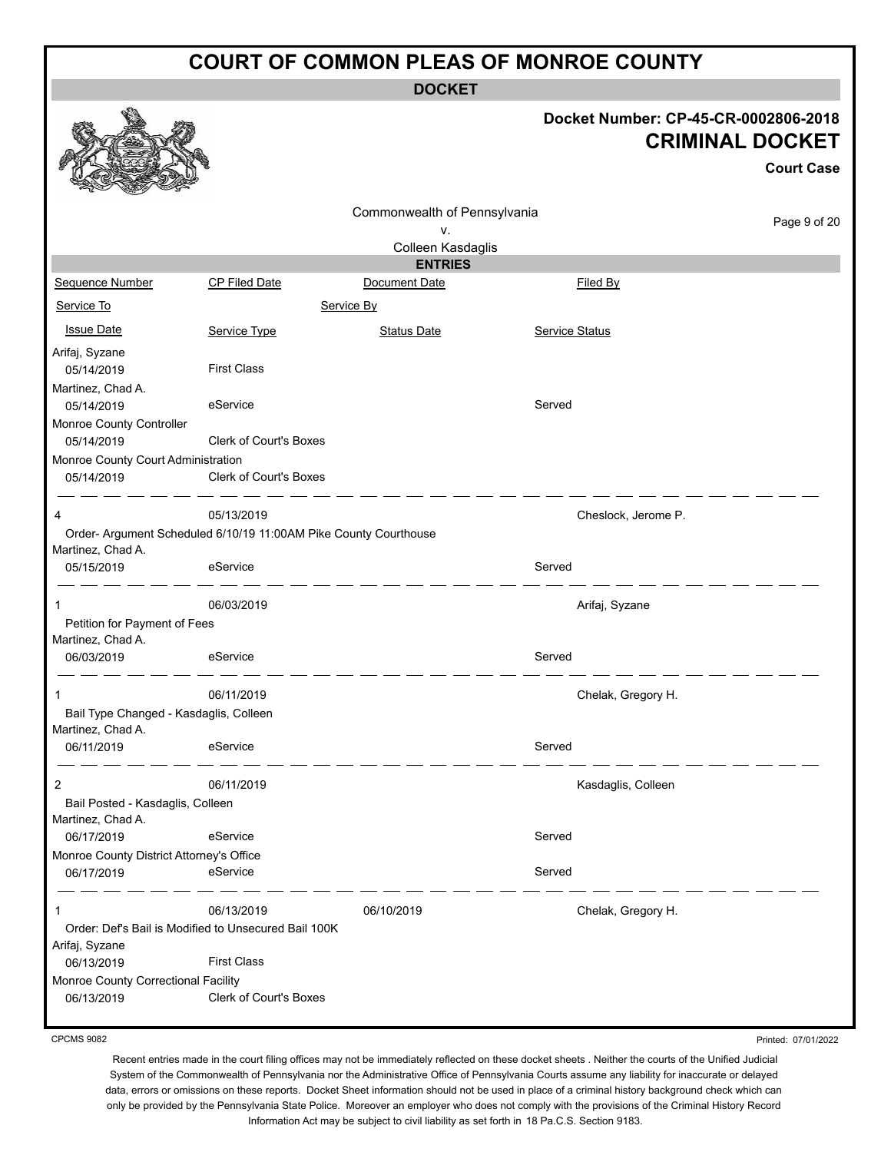**DOCKET**

#### **Docket Number: CP-45-CR-0002806-2018 CRIMINAL DOCKET**

Printed: 07/01/2022

|                                                   |                                                                  |                                 |                       | <b>Court Case</b> |
|---------------------------------------------------|------------------------------------------------------------------|---------------------------------|-----------------------|-------------------|
|                                                   |                                                                  | Commonwealth of Pennsylvania    |                       | Page 9 of 20      |
|                                                   |                                                                  | ٧.                              |                       |                   |
|                                                   |                                                                  | Colleen Kasdaglis               |                       |                   |
| Sequence Number                                   | <b>CP Filed Date</b>                                             | <b>ENTRIES</b><br>Document Date | Filed By              |                   |
|                                                   |                                                                  |                                 |                       |                   |
| Service To                                        |                                                                  | Service By                      |                       |                   |
| <b>Issue Date</b>                                 | Service Type                                                     | <b>Status Date</b>              | <b>Service Status</b> |                   |
| Arifaj, Syzane                                    |                                                                  |                                 |                       |                   |
| 05/14/2019                                        | <b>First Class</b>                                               |                                 |                       |                   |
| Martinez, Chad A.                                 |                                                                  |                                 |                       |                   |
| 05/14/2019                                        | eService                                                         |                                 | Served                |                   |
| Monroe County Controller                          |                                                                  |                                 |                       |                   |
| 05/14/2019                                        | Clerk of Court's Boxes                                           |                                 |                       |                   |
| Monroe County Court Administration                |                                                                  |                                 |                       |                   |
| 05/14/2019                                        | Clerk of Court's Boxes                                           |                                 |                       |                   |
| 4                                                 | 05/13/2019                                                       |                                 | Cheslock, Jerome P.   |                   |
|                                                   | Order- Argument Scheduled 6/10/19 11:00AM Pike County Courthouse |                                 |                       |                   |
| Martinez, Chad A.                                 |                                                                  |                                 |                       |                   |
| 05/15/2019                                        | eService                                                         |                                 | Served                |                   |
| 1                                                 | 06/03/2019                                                       |                                 | Arifaj, Syzane        |                   |
| Petition for Payment of Fees<br>Martinez, Chad A. |                                                                  |                                 |                       |                   |
| 06/03/2019                                        | eService                                                         |                                 | Served                |                   |
| 1                                                 | 06/11/2019                                                       |                                 | Chelak, Gregory H.    |                   |
| Bail Type Changed - Kasdaglis, Colleen            |                                                                  |                                 |                       |                   |
| Martinez, Chad A.                                 |                                                                  |                                 |                       |                   |
| 06/11/2019                                        | eService                                                         |                                 | Served                |                   |
| 2                                                 | 06/11/2019                                                       |                                 | Kasdaglis, Colleen    |                   |
| Bail Posted - Kasdaglis, Colleen                  |                                                                  |                                 |                       |                   |
| Martinez, Chad A.                                 |                                                                  |                                 |                       |                   |
| 06/17/2019                                        | eService                                                         |                                 | Served                |                   |
| Monroe County District Attorney's Office          |                                                                  |                                 |                       |                   |
| 06/17/2019                                        | eService                                                         |                                 | Served                |                   |
| 1                                                 | 06/13/2019                                                       | 06/10/2019                      | Chelak, Gregory H.    |                   |
|                                                   | Order: Def's Bail is Modified to Unsecured Bail 100K             |                                 |                       |                   |
| Arifaj, Syzane                                    |                                                                  |                                 |                       |                   |
| 06/13/2019                                        | <b>First Class</b>                                               |                                 |                       |                   |
| Monroe County Correctional Facility               |                                                                  |                                 |                       |                   |
| 06/13/2019                                        | Clerk of Court's Boxes                                           |                                 |                       |                   |

CPCMS 9082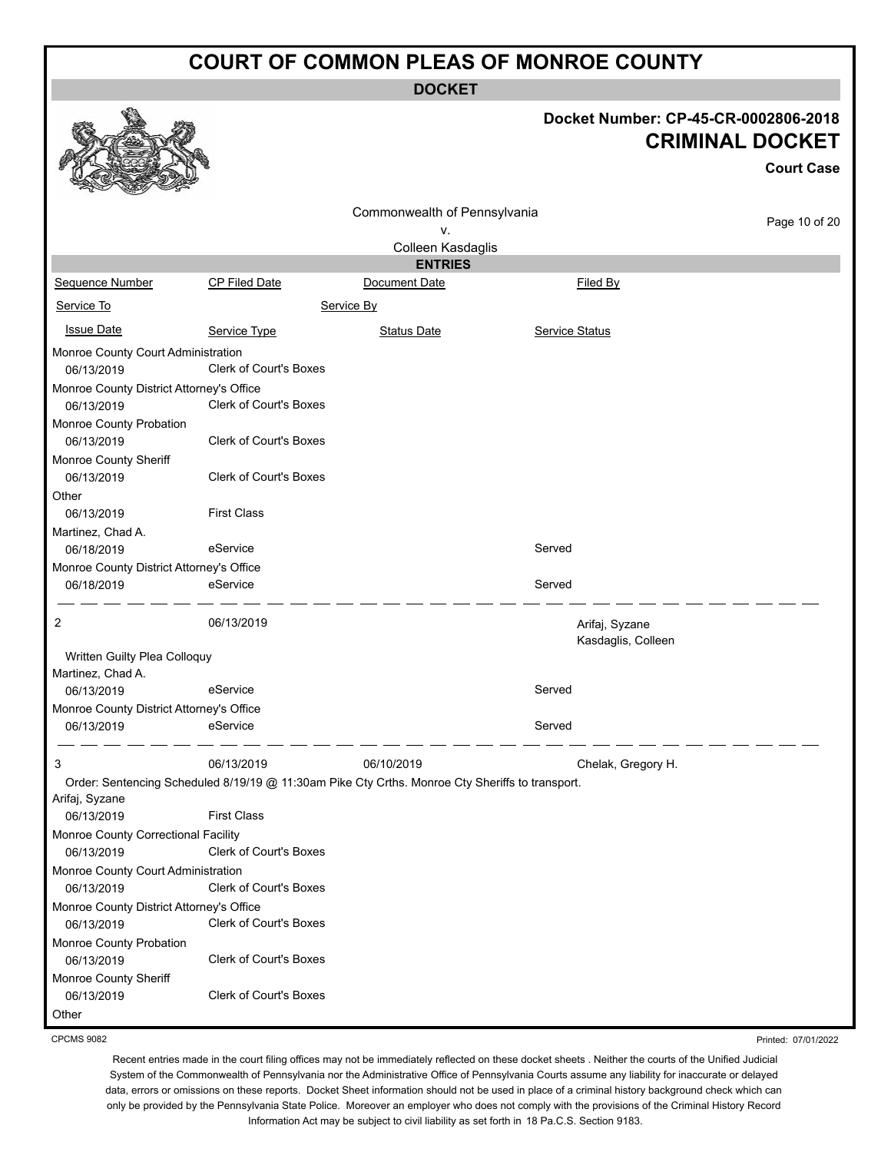**DOCKET**

|                                                        |                                                                                                               | <b>DOCKEI</b>                      |                                      |                                             |
|--------------------------------------------------------|---------------------------------------------------------------------------------------------------------------|------------------------------------|--------------------------------------|---------------------------------------------|
|                                                        |                                                                                                               |                                    | Docket Number: CP-45-CR-0002806-2018 | <b>CRIMINAL DOCKET</b><br><b>Court Case</b> |
|                                                        |                                                                                                               | Commonwealth of Pennsylvania<br>۷. |                                      | Page 10 of 20                               |
|                                                        |                                                                                                               | Colleen Kasdaglis                  |                                      |                                             |
|                                                        |                                                                                                               | <b>ENTRIES</b>                     |                                      |                                             |
| Sequence Number                                        | CP Filed Date                                                                                                 | Document Date                      | Filed By                             |                                             |
| Service To                                             |                                                                                                               | Service By                         |                                      |                                             |
| <b>Issue Date</b>                                      | Service Type                                                                                                  | <b>Status Date</b>                 | <b>Service Status</b>                |                                             |
| Monroe County Court Administration<br>06/13/2019       | <b>Clerk of Court's Boxes</b>                                                                                 |                                    |                                      |                                             |
| Monroe County District Attorney's Office               |                                                                                                               |                                    |                                      |                                             |
| 06/13/2019                                             | Clerk of Court's Boxes                                                                                        |                                    |                                      |                                             |
| Monroe County Probation<br>06/13/2019                  | Clerk of Court's Boxes                                                                                        |                                    |                                      |                                             |
| Monroe County Sheriff<br>06/13/2019                    | Clerk of Court's Boxes                                                                                        |                                    |                                      |                                             |
| Other<br>06/13/2019                                    | <b>First Class</b>                                                                                            |                                    |                                      |                                             |
| Martinez, Chad A.                                      |                                                                                                               |                                    |                                      |                                             |
| 06/18/2019                                             | eService                                                                                                      |                                    | Served                               |                                             |
| Monroe County District Attorney's Office<br>06/18/2019 | eService                                                                                                      |                                    | Served                               |                                             |
| 2                                                      | 06/13/2019                                                                                                    |                                    | Arifaj, Syzane<br>Kasdaglis, Colleen |                                             |
| Written Guilty Plea Colloquy<br>Martinez, Chad A.      |                                                                                                               |                                    |                                      |                                             |
| 06/13/2019                                             | eService                                                                                                      |                                    | Served                               |                                             |
| Monroe County District Attorney's Office               |                                                                                                               |                                    |                                      |                                             |
| 06/13/2019                                             | eService                                                                                                      |                                    | Served                               |                                             |
| 3                                                      | 06/13/2019<br>Order: Sentencing Scheduled 8/19/19 @ 11:30am Pike Cty Crths. Monroe Cty Sheriffs to transport. | 06/10/2019                         | Chelak, Gregory H.                   |                                             |
| Arifaj, Syzane<br>06/13/2019                           | <b>First Class</b>                                                                                            |                                    |                                      |                                             |
| Monroe County Correctional Facility<br>06/13/2019      | Clerk of Court's Boxes                                                                                        |                                    |                                      |                                             |
| Monroe County Court Administration                     |                                                                                                               |                                    |                                      |                                             |
| 06/13/2019                                             | Clerk of Court's Boxes                                                                                        |                                    |                                      |                                             |
| Monroe County District Attorney's Office               |                                                                                                               |                                    |                                      |                                             |
| 06/13/2019                                             | Clerk of Court's Boxes                                                                                        |                                    |                                      |                                             |
| Monroe County Probation                                |                                                                                                               |                                    |                                      |                                             |
| 06/13/2019                                             | Clerk of Court's Boxes                                                                                        |                                    |                                      |                                             |
| Monroe County Sheriff<br>06/13/2019                    | Clerk of Court's Boxes                                                                                        |                                    |                                      |                                             |
| Other                                                  |                                                                                                               |                                    |                                      |                                             |

CPCMS 9082

Recent entries made in the court filing offices may not be immediately reflected on these docket sheets . Neither the courts of the Unified Judicial

Printed: 07/01/2022

System of the Commonwealth of Pennsylvania nor the Administrative Office of Pennsylvania Courts assume any liability for inaccurate or delayed data, errors or omissions on these reports. Docket Sheet information should not be used in place of a criminal history background check which can only be provided by the Pennsylvania State Police. Moreover an employer who does not comply with the provisions of the Criminal History Record Information Act may be subject to civil liability as set forth in 18 Pa.C.S. Section 9183.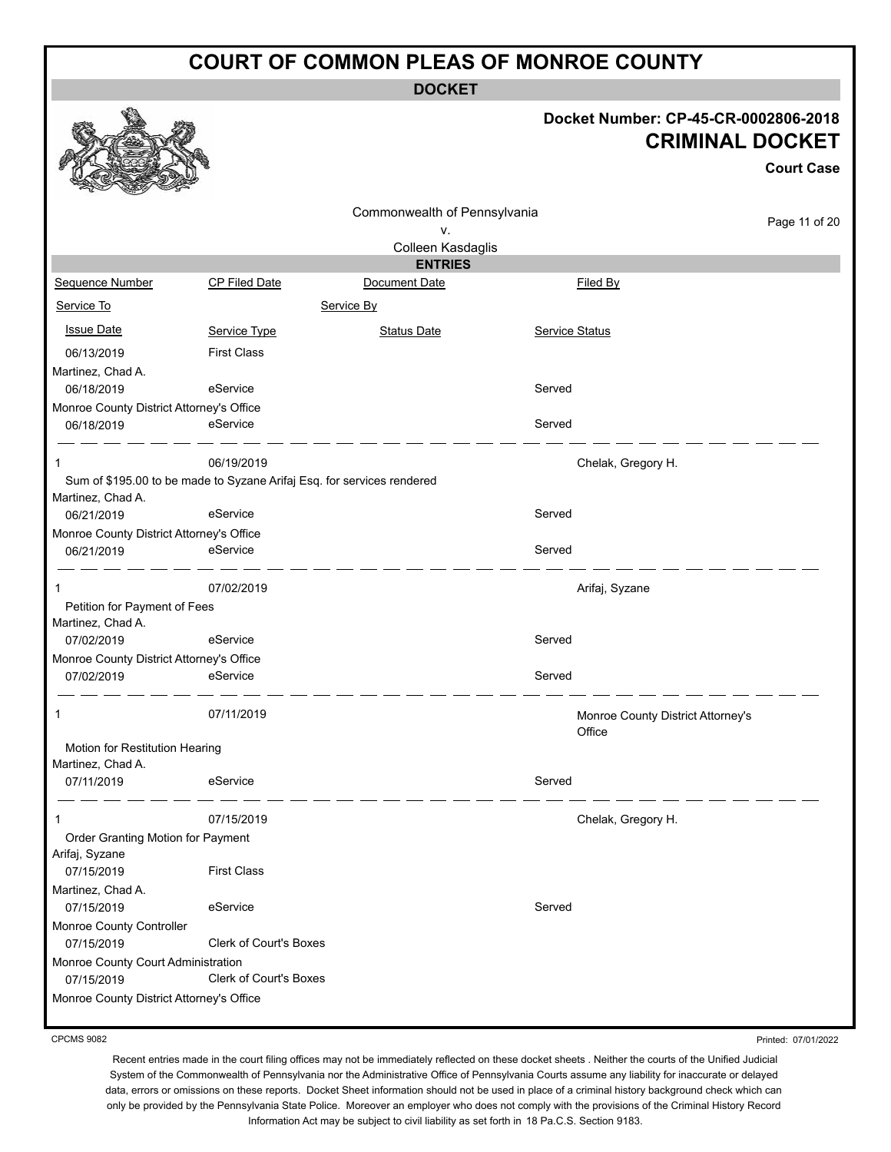**DOCKET**

#### **Docket Number: CP-45-CR-0002806-2018 CRIMINAL DOCKET**

**Court Case**

|                                                   |                                                                        |                              |        |                                             | <b>Court Case</b> |
|---------------------------------------------------|------------------------------------------------------------------------|------------------------------|--------|---------------------------------------------|-------------------|
|                                                   |                                                                        | Commonwealth of Pennsylvania |        |                                             | Page 11 of 20     |
|                                                   |                                                                        | ٧.                           |        |                                             |                   |
|                                                   |                                                                        | Colleen Kasdaglis            |        |                                             |                   |
|                                                   |                                                                        | <b>ENTRIES</b>               |        |                                             |                   |
| Sequence Number                                   | <b>CP Filed Date</b>                                                   | Document Date                |        | Filed By                                    |                   |
| Service To                                        |                                                                        | Service By                   |        |                                             |                   |
| <b>Issue Date</b>                                 | Service Type                                                           | <b>Status Date</b>           |        | <b>Service Status</b>                       |                   |
| 06/13/2019                                        | <b>First Class</b>                                                     |                              |        |                                             |                   |
| Martinez, Chad A.                                 |                                                                        |                              |        |                                             |                   |
| 06/18/2019                                        | eService                                                               |                              | Served |                                             |                   |
| Monroe County District Attorney's Office          |                                                                        |                              |        |                                             |                   |
| 06/18/2019                                        | eService                                                               |                              | Served |                                             |                   |
| 1                                                 | 06/19/2019                                                             |                              |        | Chelak, Gregory H.                          |                   |
| Martinez, Chad A.                                 | Sum of \$195.00 to be made to Syzane Arifaj Esq. for services rendered |                              |        |                                             |                   |
| 06/21/2019                                        | eService                                                               |                              | Served |                                             |                   |
| Monroe County District Attorney's Office          |                                                                        |                              |        |                                             |                   |
| 06/21/2019                                        | eService                                                               |                              | Served |                                             |                   |
| 1                                                 | 07/02/2019                                                             |                              |        | Arifaj, Syzane                              |                   |
| Petition for Payment of Fees<br>Martinez, Chad A. |                                                                        |                              |        |                                             |                   |
| 07/02/2019                                        | eService                                                               |                              | Served |                                             |                   |
| Monroe County District Attorney's Office          |                                                                        |                              |        |                                             |                   |
| 07/02/2019                                        | eService                                                               |                              | Served |                                             |                   |
| 1                                                 | 07/11/2019                                                             |                              |        | Monroe County District Attorney's<br>Office |                   |
| Motion for Restitution Hearing                    |                                                                        |                              |        |                                             |                   |
| Martinez, Chad A.                                 |                                                                        |                              |        |                                             |                   |
| 07/11/2019                                        | eService                                                               |                              | Served |                                             |                   |
|                                                   | 07/15/2019                                                             |                              |        | Chelak, Gregory H.                          |                   |
| Order Granting Motion for Payment                 |                                                                        |                              |        |                                             |                   |
| Arifaj, Syzane                                    |                                                                        |                              |        |                                             |                   |
| 07/15/2019                                        | <b>First Class</b>                                                     |                              |        |                                             |                   |
| Martinez, Chad A.                                 |                                                                        |                              |        |                                             |                   |
| 07/15/2019                                        | eService                                                               |                              | Served |                                             |                   |
| Monroe County Controller                          |                                                                        |                              |        |                                             |                   |
| 07/15/2019                                        | Clerk of Court's Boxes                                                 |                              |        |                                             |                   |
| Monroe County Court Administration                |                                                                        |                              |        |                                             |                   |
| 07/15/2019                                        | Clerk of Court's Boxes                                                 |                              |        |                                             |                   |
| Monroe County District Attorney's Office          |                                                                        |                              |        |                                             |                   |

CPCMS 9082

Printed: 07/01/2022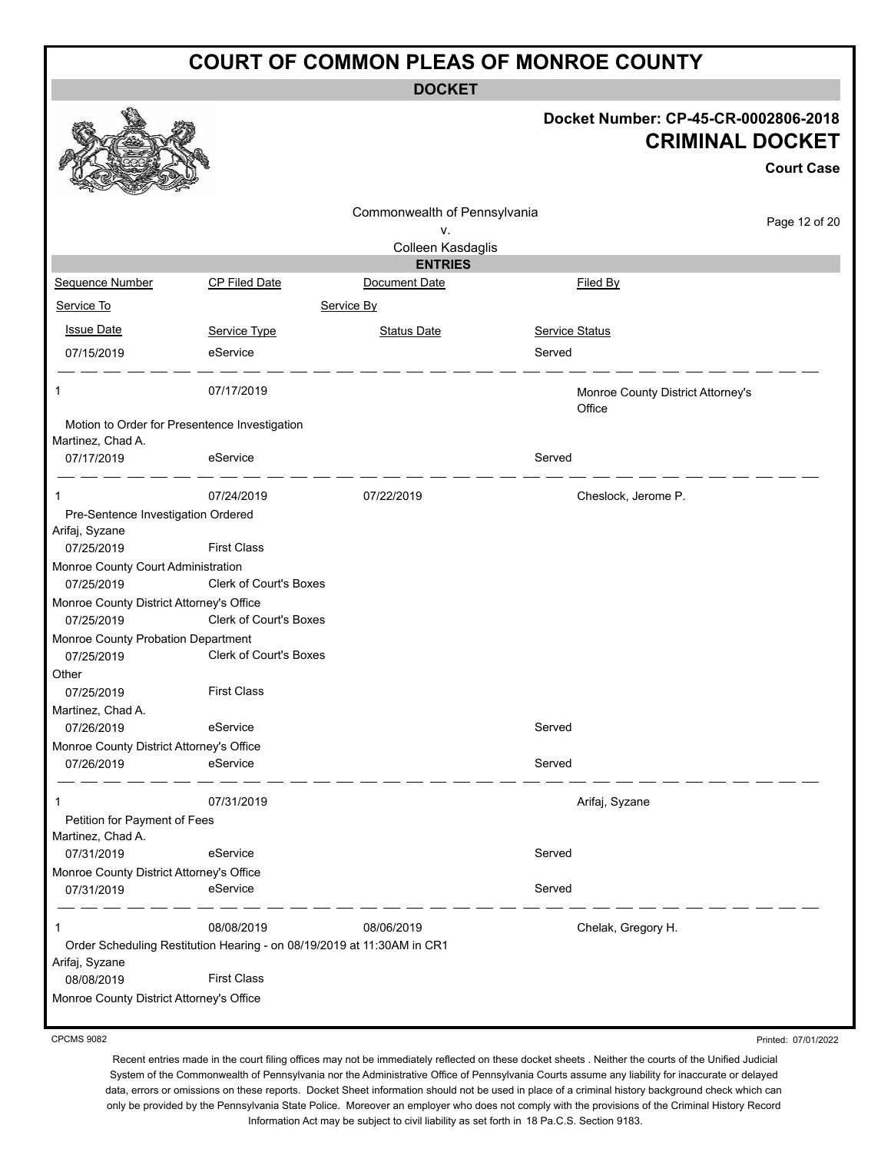**DOCKET**

|                                                                        |                               | <b>DOCKET</b>                |                                             |                                             |
|------------------------------------------------------------------------|-------------------------------|------------------------------|---------------------------------------------|---------------------------------------------|
|                                                                        |                               |                              | Docket Number: CP-45-CR-0002806-2018        | <b>CRIMINAL DOCKET</b><br><b>Court Case</b> |
|                                                                        |                               | Commonwealth of Pennsylvania |                                             |                                             |
|                                                                        |                               | ٧.                           |                                             | Page 12 of 20                               |
|                                                                        |                               | Colleen Kasdaglis            |                                             |                                             |
|                                                                        |                               | <b>ENTRIES</b>               |                                             |                                             |
| Sequence Number                                                        | CP Filed Date                 | Document Date                | Filed By                                    |                                             |
| Service To                                                             |                               | Service By                   |                                             |                                             |
| <b>Issue Date</b>                                                      | Service Type                  | <b>Status Date</b>           | Service Status                              |                                             |
| 07/15/2019                                                             | eService                      |                              | Served                                      |                                             |
| 1                                                                      | 07/17/2019                    |                              | Monroe County District Attorney's<br>Office |                                             |
| Motion to Order for Presentence Investigation<br>Martinez, Chad A.     |                               |                              |                                             |                                             |
| 07/17/2019                                                             | eService                      |                              | Served                                      |                                             |
| $\mathbf{1}$                                                           | 07/24/2019                    | 07/22/2019                   | Cheslock, Jerome P.                         |                                             |
| Pre-Sentence Investigation Ordered                                     |                               |                              |                                             |                                             |
| Arifaj, Syzane                                                         |                               |                              |                                             |                                             |
| 07/25/2019                                                             | <b>First Class</b>            |                              |                                             |                                             |
| Monroe County Court Administration<br>07/25/2019                       | Clerk of Court's Boxes        |                              |                                             |                                             |
| Monroe County District Attorney's Office                               |                               |                              |                                             |                                             |
| 07/25/2019                                                             | Clerk of Court's Boxes        |                              |                                             |                                             |
| Monroe County Probation Department<br>07/25/2019                       | <b>Clerk of Court's Boxes</b> |                              |                                             |                                             |
| Other                                                                  |                               |                              |                                             |                                             |
| 07/25/2019                                                             | <b>First Class</b>            |                              |                                             |                                             |
| Martinez, Chad A.                                                      |                               |                              |                                             |                                             |
| 07/26/2019                                                             | eService                      |                              | Served                                      |                                             |
| Monroe County District Attorney's Office<br>07/26/2019                 | eService                      |                              | Served                                      |                                             |
|                                                                        |                               |                              |                                             |                                             |
| 1                                                                      | 07/31/2019                    |                              | Arifaj, Syzane                              |                                             |
| Petition for Payment of Fees                                           |                               |                              |                                             |                                             |
| Martinez, Chad A.                                                      |                               |                              | Served                                      |                                             |
| 07/31/2019                                                             | eService                      |                              |                                             |                                             |
| Monroe County District Attorney's Office<br>07/31/2019                 | eService                      |                              | Served                                      |                                             |
| 1                                                                      | 08/08/2019                    | 08/06/2019                   | Chelak, Gregory H.                          |                                             |
| Order Scheduling Restitution Hearing - on 08/19/2019 at 11:30AM in CR1 |                               |                              |                                             |                                             |
| Arifaj, Syzane<br>08/08/2019                                           | <b>First Class</b>            |                              |                                             |                                             |
| Monroe County District Attorney's Office                               |                               |                              |                                             |                                             |
|                                                                        |                               |                              |                                             |                                             |

CPCMS 9082

Printed: 07/01/2022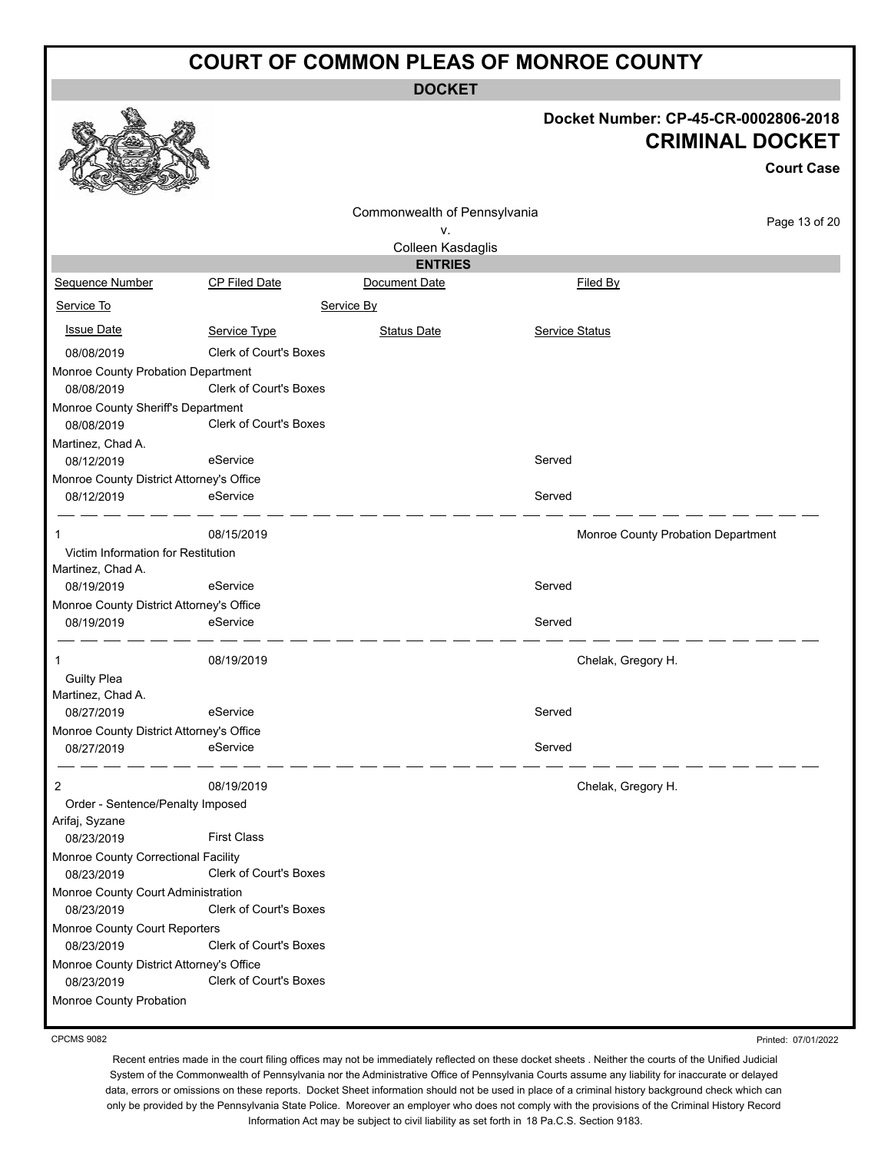**DOCKET**

#### **Docket Number: CP-45-CR-0002806-2018 CRIMINAL DOCKET**

|                                                  |                               |                              |                | <b>Court Case</b>                  |
|--------------------------------------------------|-------------------------------|------------------------------|----------------|------------------------------------|
|                                                  |                               | Commonwealth of Pennsylvania |                |                                    |
|                                                  |                               | ۷.                           |                | Page 13 of 20                      |
|                                                  |                               | Colleen Kasdaglis            |                |                                    |
|                                                  |                               | <b>ENTRIES</b>               |                |                                    |
| <b>Sequence Number</b>                           | CP Filed Date                 | Document Date                |                | Filed By                           |
| Service To                                       |                               | Service By                   |                |                                    |
| <b>Issue Date</b>                                | Service Type                  | <b>Status Date</b>           | Service Status |                                    |
| 08/08/2019                                       | <b>Clerk of Court's Boxes</b> |                              |                |                                    |
| Monroe County Probation Department               |                               |                              |                |                                    |
| 08/08/2019                                       | <b>Clerk of Court's Boxes</b> |                              |                |                                    |
| Monroe County Sheriff's Department               |                               |                              |                |                                    |
| 08/08/2019                                       | <b>Clerk of Court's Boxes</b> |                              |                |                                    |
| Martinez, Chad A.                                |                               |                              |                |                                    |
| 08/12/2019                                       | eService                      |                              | Served         |                                    |
| Monroe County District Attorney's Office         |                               |                              | Served         |                                    |
| 08/12/2019                                       | eService                      |                              |                |                                    |
| 1                                                | 08/15/2019                    |                              |                | Monroe County Probation Department |
| Victim Information for Restitution               |                               |                              |                |                                    |
| Martinez, Chad A.                                |                               |                              |                |                                    |
| 08/19/2019                                       | eService                      |                              | Served         |                                    |
| Monroe County District Attorney's Office         |                               |                              |                |                                    |
| 08/19/2019                                       | eService                      |                              | Served         |                                    |
| 1                                                | 08/19/2019                    |                              |                | Chelak, Gregory H.                 |
| <b>Guilty Plea</b>                               |                               |                              |                |                                    |
| Martinez, Chad A.                                |                               |                              |                |                                    |
| 08/27/2019                                       | eService                      |                              | Served         |                                    |
| Monroe County District Attorney's Office         |                               |                              |                |                                    |
| 08/27/2019                                       | eService                      |                              | Served         |                                    |
| 2                                                | 08/19/2019                    |                              |                | Chelak, Gregory H.                 |
| Order - Sentence/Penalty Imposed                 |                               |                              |                |                                    |
| Arifaj, Syzane                                   |                               |                              |                |                                    |
| 08/23/2019                                       | <b>First Class</b>            |                              |                |                                    |
| Monroe County Correctional Facility              |                               |                              |                |                                    |
| 08/23/2019                                       | Clerk of Court's Boxes        |                              |                |                                    |
| Monroe County Court Administration<br>08/23/2019 | <b>Clerk of Court's Boxes</b> |                              |                |                                    |
| Monroe County Court Reporters                    |                               |                              |                |                                    |
| 08/23/2019                                       | <b>Clerk of Court's Boxes</b> |                              |                |                                    |
| Monroe County District Attorney's Office         |                               |                              |                |                                    |
| 08/23/2019                                       | Clerk of Court's Boxes        |                              |                |                                    |
| Monroe County Probation                          |                               |                              |                |                                    |

CPCMS 9082

燚

Printed: 07/01/2022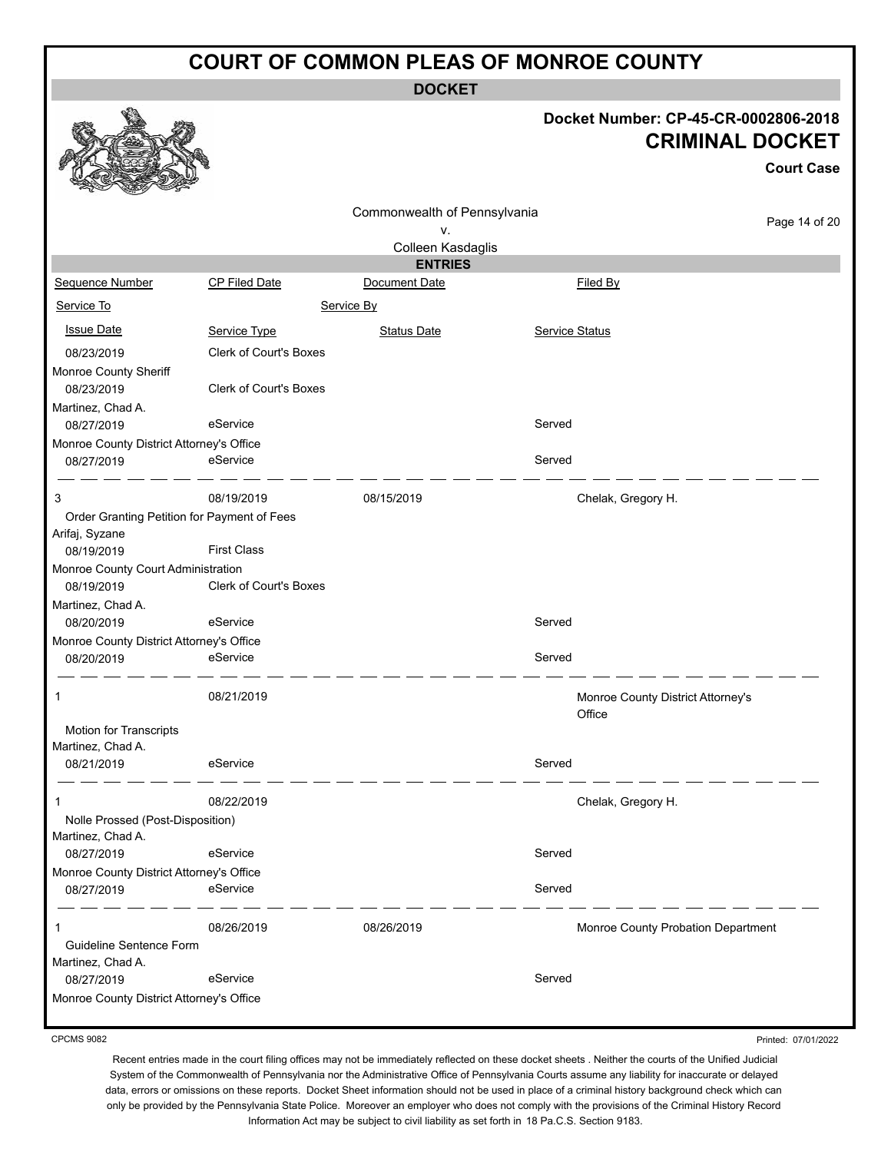**DOCKET**

#### **Docket Number: CP-45-CR-0002806-2018 CRIMINAL DOCKET**

|                                             |                               |                                     |                       |                                             | <b>Court Case</b> |
|---------------------------------------------|-------------------------------|-------------------------------------|-----------------------|---------------------------------------------|-------------------|
|                                             |                               | Commonwealth of Pennsylvania        |                       |                                             | Page 14 of 20     |
|                                             |                               | ٧.                                  |                       |                                             |                   |
|                                             |                               | Colleen Kasdaglis<br><b>ENTRIES</b> |                       |                                             |                   |
| Sequence Number                             | CP Filed Date                 | Document Date                       |                       | Filed By                                    |                   |
| Service To                                  |                               | Service By                          |                       |                                             |                   |
|                                             |                               |                                     |                       |                                             |                   |
| <b>Issue Date</b>                           | Service Type                  | <b>Status Date</b>                  | <b>Service Status</b> |                                             |                   |
| 08/23/2019                                  | <b>Clerk of Court's Boxes</b> |                                     |                       |                                             |                   |
| Monroe County Sheriff                       |                               |                                     |                       |                                             |                   |
| 08/23/2019                                  | <b>Clerk of Court's Boxes</b> |                                     |                       |                                             |                   |
| Martinez, Chad A.                           |                               |                                     |                       |                                             |                   |
| 08/27/2019                                  | eService                      |                                     | Served                |                                             |                   |
| Monroe County District Attorney's Office    |                               |                                     |                       |                                             |                   |
| 08/27/2019                                  | eService                      |                                     | Served                |                                             |                   |
| 3                                           | 08/19/2019                    | 08/15/2019                          |                       | Chelak, Gregory H.                          |                   |
| Order Granting Petition for Payment of Fees |                               |                                     |                       |                                             |                   |
| Arifaj, Syzane                              |                               |                                     |                       |                                             |                   |
| 08/19/2019                                  | <b>First Class</b>            |                                     |                       |                                             |                   |
| Monroe County Court Administration          |                               |                                     |                       |                                             |                   |
| 08/19/2019                                  | Clerk of Court's Boxes        |                                     |                       |                                             |                   |
| Martinez, Chad A.                           |                               |                                     |                       |                                             |                   |
| 08/20/2019                                  | eService                      |                                     | Served                |                                             |                   |
| Monroe County District Attorney's Office    |                               |                                     |                       |                                             |                   |
| 08/20/2019                                  | eService                      |                                     | Served                |                                             |                   |
| 1                                           | 08/21/2019                    |                                     |                       | Monroe County District Attorney's<br>Office |                   |
| Motion for Transcripts                      |                               |                                     |                       |                                             |                   |
| Martinez, Chad A.                           |                               |                                     |                       |                                             |                   |
| 08/21/2019                                  | eService                      |                                     | Served                |                                             |                   |
| 1                                           | 08/22/2019                    |                                     |                       | Chelak, Gregory H.                          |                   |
| Nolle Prossed (Post-Disposition)            |                               |                                     |                       |                                             |                   |
| Martinez, Chad A.                           |                               |                                     |                       |                                             |                   |
| 08/27/2019                                  | eService                      |                                     | Served                |                                             |                   |
| Monroe County District Attorney's Office    |                               |                                     |                       |                                             |                   |
| 08/27/2019                                  | eService                      |                                     | Served                |                                             |                   |
| 1                                           | 08/26/2019                    | 08/26/2019                          |                       | Monroe County Probation Department          |                   |
| Guideline Sentence Form                     |                               |                                     |                       |                                             |                   |
| Martinez, Chad A.                           |                               |                                     |                       |                                             |                   |
| 08/27/2019                                  | eService                      |                                     | Served                |                                             |                   |
| Monroe County District Attorney's Office    |                               |                                     |                       |                                             |                   |

CPCMS 9082

Printed: 07/01/2022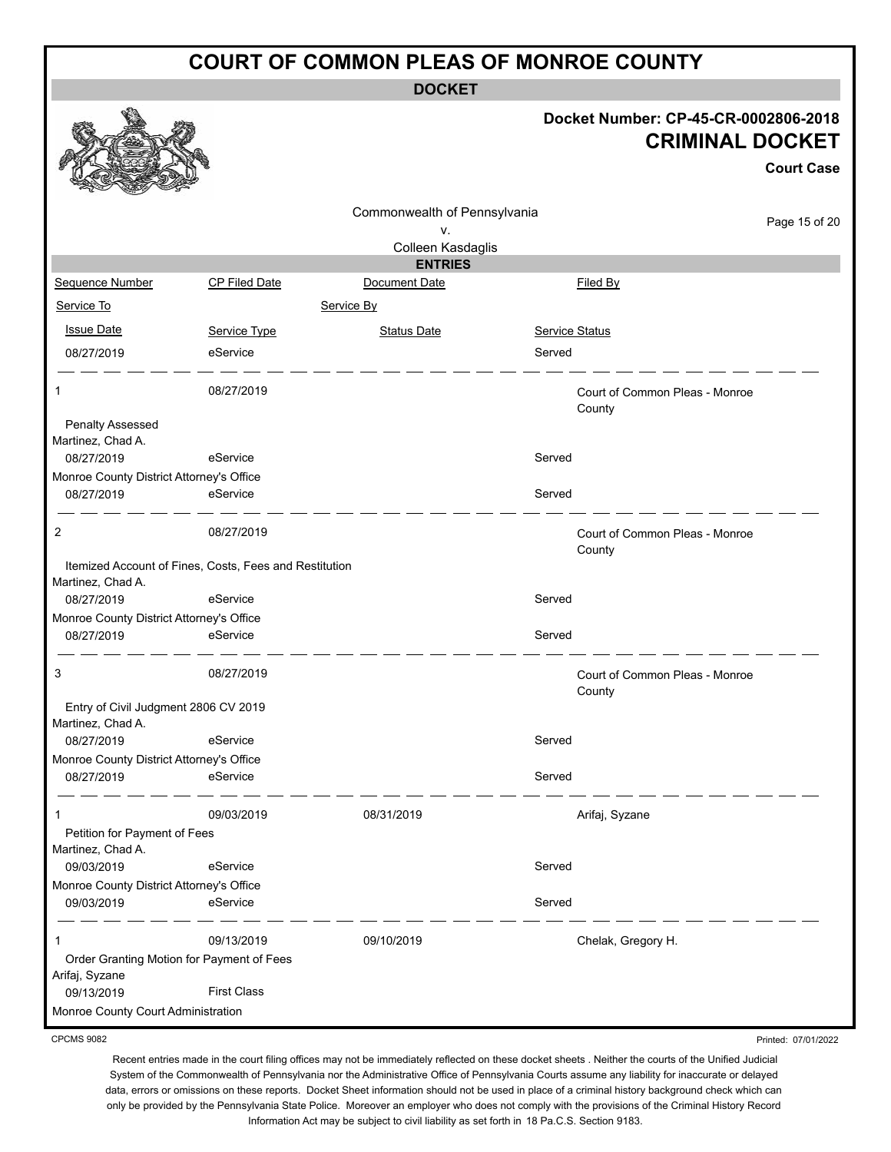**DOCKET**

#### **Docket Number: CP-45-CR-0002806-2018 CRIMINAL DOCKET**

**Court Case**

Printed: 07/01/2022

|                                                             |                    |                                    |                |                                | Gourt Gase    |
|-------------------------------------------------------------|--------------------|------------------------------------|----------------|--------------------------------|---------------|
|                                                             |                    | Commonwealth of Pennsylvania<br>۷. |                |                                | Page 15 of 20 |
|                                                             |                    | Colleen Kasdaglis                  |                |                                |               |
|                                                             |                    | <b>ENTRIES</b>                     |                |                                |               |
| Sequence Number                                             | CP Filed Date      | Document Date                      |                | <b>Filed By</b>                |               |
| Service To                                                  |                    | Service By                         |                |                                |               |
| <b>Issue Date</b>                                           | Service Type       | <b>Status Date</b>                 | Service Status |                                |               |
| 08/27/2019                                                  | eService           |                                    | Served         |                                |               |
| 1                                                           | 08/27/2019         |                                    | County         | Court of Common Pleas - Monroe |               |
| Penalty Assessed<br>Martinez, Chad A.                       |                    |                                    |                |                                |               |
| 08/27/2019                                                  | eService           |                                    | Served         |                                |               |
| Monroe County District Attorney's Office                    |                    |                                    |                |                                |               |
| 08/27/2019                                                  | eService           |                                    | Served         |                                |               |
| 2                                                           | 08/27/2019         |                                    | County         | Court of Common Pleas - Monroe |               |
| Itemized Account of Fines, Costs, Fees and Restitution      |                    |                                    |                |                                |               |
| Martinez, Chad A.                                           | eService           |                                    | Served         |                                |               |
| 08/27/2019<br>Monroe County District Attorney's Office      |                    |                                    |                |                                |               |
| 08/27/2019                                                  | eService           |                                    | Served         |                                |               |
| 3                                                           | 08/27/2019         |                                    | County         | Court of Common Pleas - Monroe |               |
| Entry of Civil Judgment 2806 CV 2019                        |                    |                                    |                |                                |               |
| Martinez, Chad A.                                           |                    |                                    |                |                                |               |
| 08/27/2019<br>Monroe County District Attorney's Office      | eService           |                                    | Served         |                                |               |
| 08/27/2019                                                  | eService           |                                    | Served         |                                |               |
| 1                                                           | 09/03/2019         | 08/31/2019                         |                | Arifaj, Syzane                 |               |
| Petition for Payment of Fees<br>Martinez, Chad A.           |                    |                                    |                |                                |               |
| 09/03/2019                                                  | eService           |                                    | Served         |                                |               |
| Monroe County District Attorney's Office<br>09/03/2019      | eService           |                                    | Served         |                                |               |
|                                                             | 09/13/2019         | 09/10/2019                         |                | Chelak, Gregory H.             |               |
| Order Granting Motion for Payment of Fees<br>Arifaj, Syzane |                    |                                    |                |                                |               |
| 09/13/2019                                                  | <b>First Class</b> |                                    |                |                                |               |
| Monroe County Court Administration                          |                    |                                    |                |                                |               |

CPCMS 9082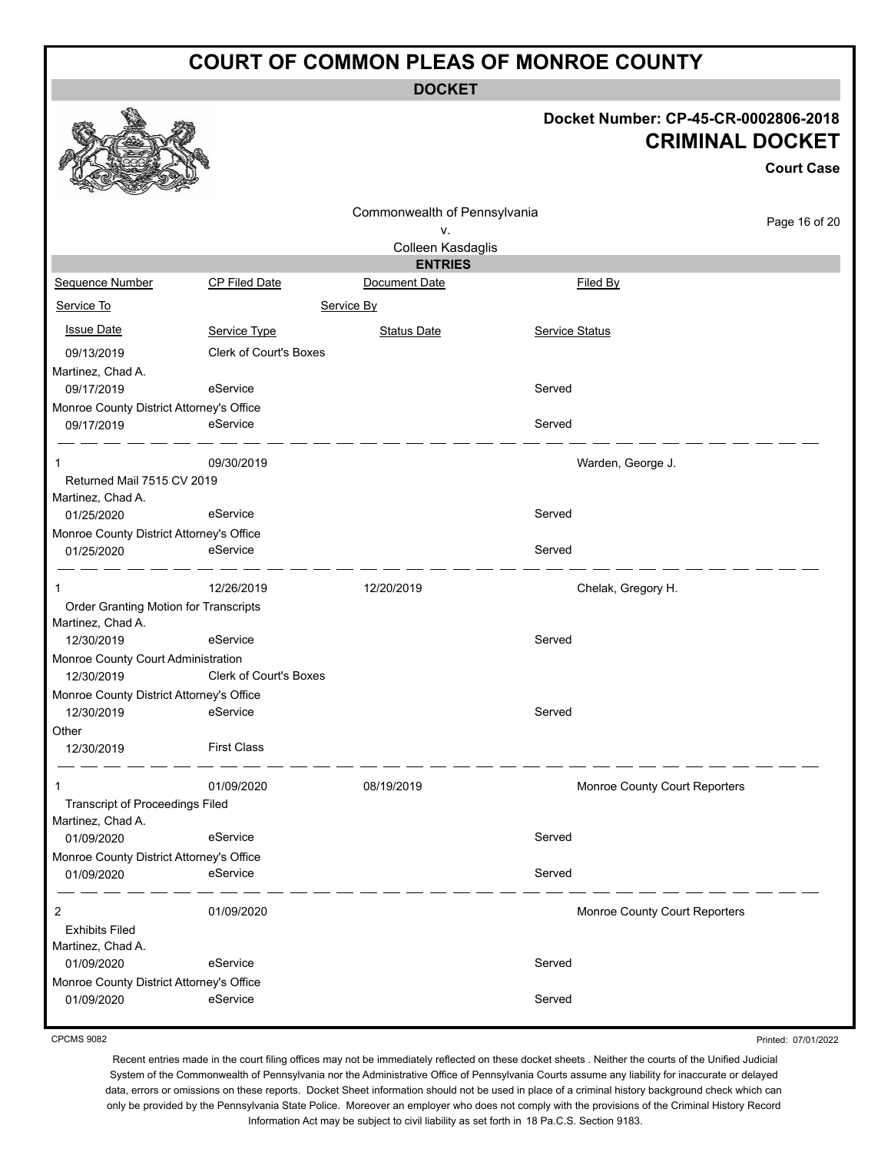**DOCKET**

#### **Docket Number: CP-45-CR-0002806-2018 CRIMINAL DOCKET**

**Court Case**

|                                          |                               |                              |                               | ouur case     |
|------------------------------------------|-------------------------------|------------------------------|-------------------------------|---------------|
|                                          |                               | Commonwealth of Pennsylvania |                               |               |
|                                          |                               | ٧.                           |                               | Page 16 of 20 |
|                                          |                               | Colleen Kasdaglis            |                               |               |
|                                          |                               | <b>ENTRIES</b>               |                               |               |
| Sequence Number                          | <b>CP Filed Date</b>          | Document Date                | Filed By                      |               |
| Service To                               |                               | Service By                   |                               |               |
| <b>Issue Date</b>                        | Service Type                  | <b>Status Date</b>           | Service Status                |               |
| 09/13/2019                               | <b>Clerk of Court's Boxes</b> |                              |                               |               |
| Martinez, Chad A.                        |                               |                              |                               |               |
| 09/17/2019                               | eService                      |                              | Served                        |               |
| Monroe County District Attorney's Office |                               |                              |                               |               |
| 09/17/2019                               | eService                      |                              | Served                        |               |
|                                          | 09/30/2019                    |                              | Warden, George J.             |               |
| Returned Mail 7515 CV 2019               |                               |                              |                               |               |
| Martinez, Chad A.                        |                               |                              |                               |               |
| 01/25/2020                               | eService                      |                              | Served                        |               |
| Monroe County District Attorney's Office |                               |                              |                               |               |
| 01/25/2020                               | eService                      |                              | Served                        |               |
| -1                                       | 12/26/2019                    | 12/20/2019                   | Chelak, Gregory H.            |               |
| Order Granting Motion for Transcripts    |                               |                              |                               |               |
| Martinez, Chad A.                        |                               |                              |                               |               |
| 12/30/2019                               | eService                      |                              | Served                        |               |
| Monroe County Court Administration       |                               |                              |                               |               |
| 12/30/2019                               | <b>Clerk of Court's Boxes</b> |                              |                               |               |
| Monroe County District Attorney's Office |                               |                              |                               |               |
| 12/30/2019                               | eService                      |                              | Served                        |               |
| Other                                    |                               |                              |                               |               |
| 12/30/2019                               | <b>First Class</b>            |                              |                               |               |
| 1                                        | 01/09/2020                    | 08/19/2019                   | Monroe County Court Reporters |               |
| <b>Transcript of Proceedings Filed</b>   |                               |                              |                               |               |
| Martinez, Chad A.                        |                               |                              |                               |               |
| 01/09/2020                               | eService                      |                              | Served                        |               |
| Monroe County District Attorney's Office |                               |                              |                               |               |
| 01/09/2020                               | eService                      |                              | Served                        |               |
| 2                                        | 01/09/2020                    |                              | Monroe County Court Reporters |               |
| <b>Exhibits Filed</b>                    |                               |                              |                               |               |
| Martinez, Chad A.                        |                               |                              |                               |               |
| 01/09/2020                               | eService                      |                              | Served                        |               |
| Monroe County District Attorney's Office |                               |                              |                               |               |
| 01/09/2020                               | eService                      |                              | Served                        |               |
|                                          |                               |                              |                               |               |

CPCMS 9082

Printed: 07/01/2022

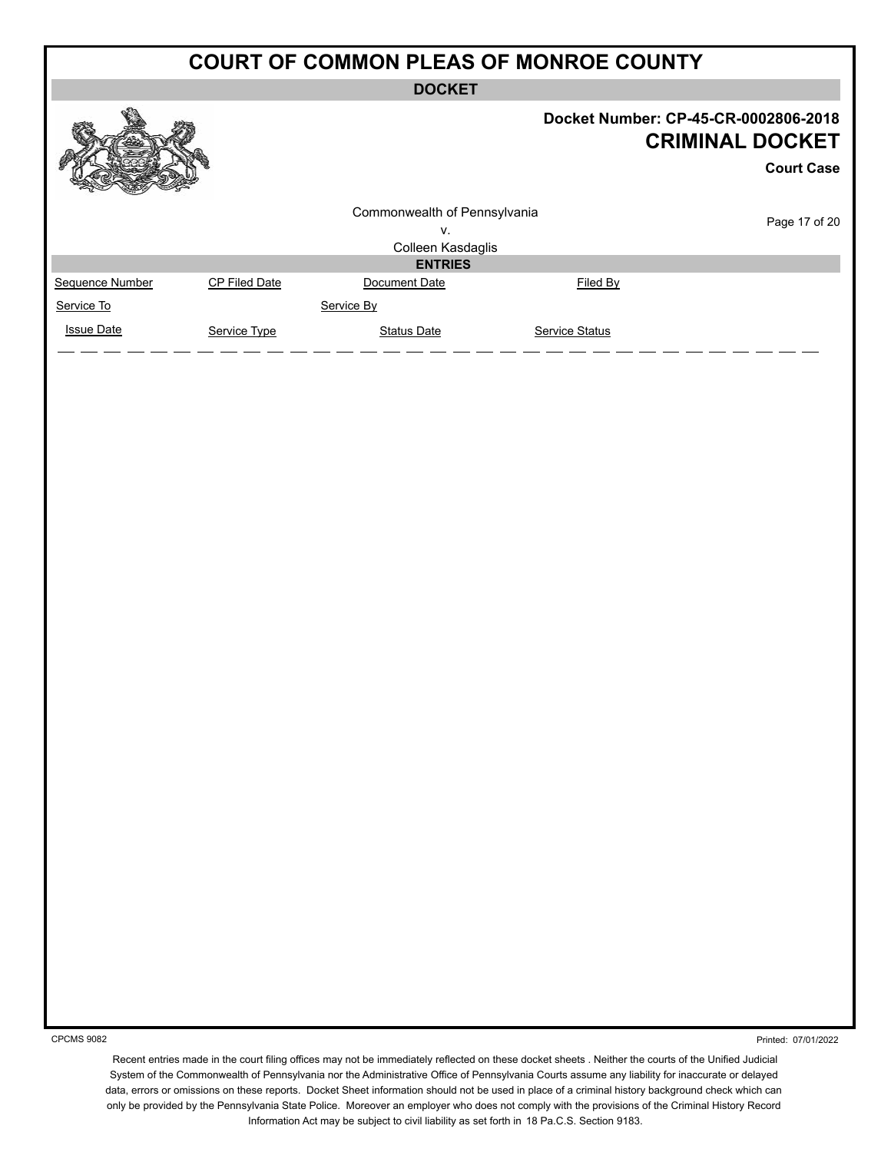**DOCKET**

|                   |               | -----                        |                       |                                                                                     |
|-------------------|---------------|------------------------------|-----------------------|-------------------------------------------------------------------------------------|
|                   |               |                              |                       | Docket Number: CP-45-CR-0002806-2018<br><b>CRIMINAL DOCKET</b><br><b>Court Case</b> |
|                   |               | Commonwealth of Pennsylvania |                       |                                                                                     |
|                   |               | V.                           |                       | Page 17 of 20                                                                       |
|                   |               | Colleen Kasdaglis            |                       |                                                                                     |
|                   |               | <b>ENTRIES</b>               |                       |                                                                                     |
| Sequence Number   | CP Filed Date | Document Date                | Filed By              |                                                                                     |
| Service To        |               | Service By                   |                       |                                                                                     |
| <b>Issue Date</b> | Service Type  | <b>Status Date</b>           | <b>Service Status</b> |                                                                                     |
|                   |               |                              |                       |                                                                                     |

CPCMS 9082

Printed: 07/01/2022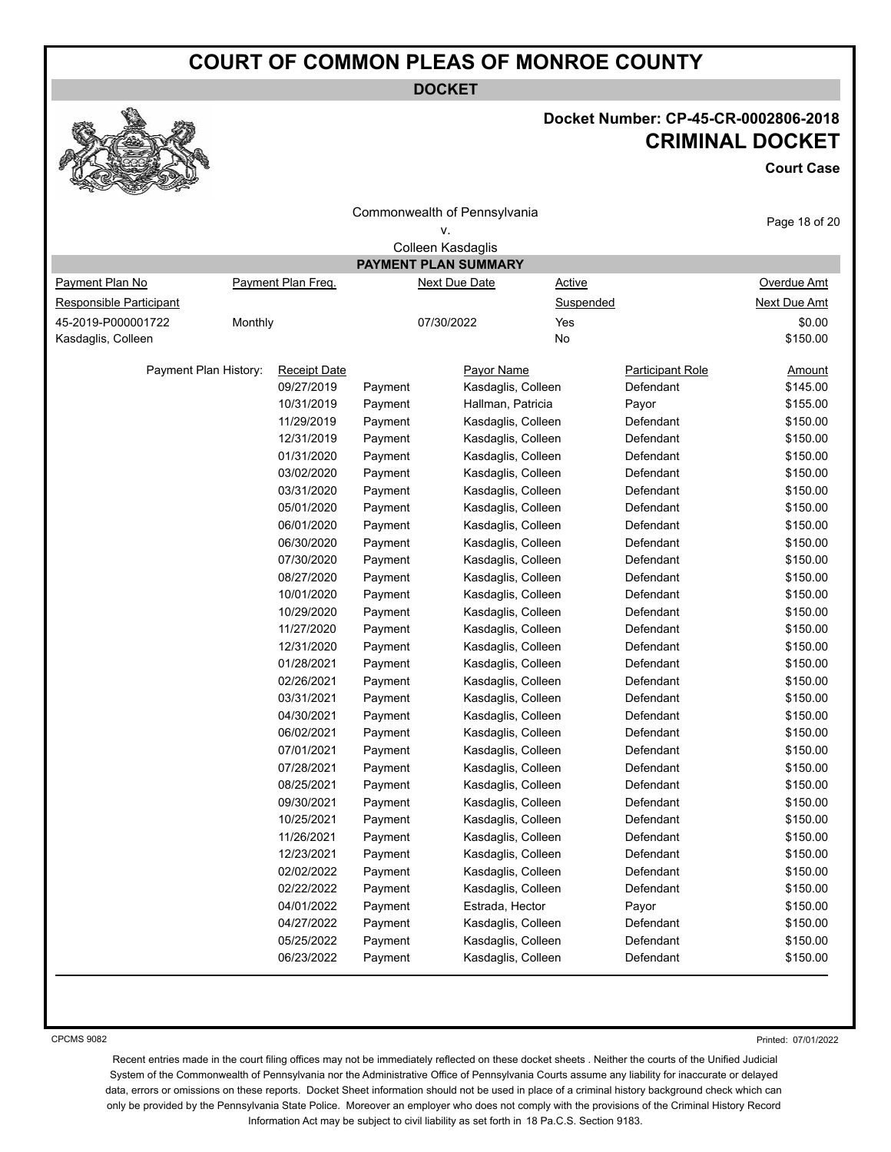**DOCKET**



## **Docket Number: CP-45-CR-0002806-2018 CRIMINAL DOCKET**

**Court Case**

| <b>RAD</b><br>SEN<br><b>COMPANY</b> |         |                     |         |                              |                         |               |
|-------------------------------------|---------|---------------------|---------|------------------------------|-------------------------|---------------|
|                                     |         |                     |         | Commonwealth of Pennsylvania |                         |               |
|                                     |         |                     |         | ۷.                           |                         | Page 18 of 20 |
|                                     |         |                     |         | Colleen Kasdaglis            |                         |               |
|                                     |         |                     |         | <b>PAYMENT PLAN SUMMARY</b>  |                         |               |
| Payment Plan No                     |         | Payment Plan Freq.  |         | <b>Next Due Date</b>         | <b>Active</b>           | Overdue Amt   |
| Responsible Participant             |         |                     |         |                              | Suspended               | Next Due Amt  |
| 45-2019-P000001722                  | Monthly |                     |         | 07/30/2022<br>Yes            |                         | \$0.00        |
| Kasdaglis, Colleen                  |         |                     |         | No                           |                         | \$150.00      |
| Payment Plan History:               |         | <b>Receipt Date</b> |         | Payor Name                   | <b>Participant Role</b> | <u>Amount</u> |
|                                     |         | 09/27/2019          | Payment | Kasdaglis, Colleen           | Defendant               | \$145.00      |
|                                     |         | 10/31/2019          | Payment | Hallman, Patricia            | Payor                   | \$155.00      |
|                                     |         | 11/29/2019          | Payment | Kasdaglis, Colleen           | Defendant               | \$150.00      |
|                                     |         | 12/31/2019          | Payment | Kasdaglis, Colleen           | Defendant               | \$150.00      |
|                                     |         | 01/31/2020          | Payment | Kasdaglis, Colleen           | Defendant               | \$150.00      |
|                                     |         | 03/02/2020          | Payment | Kasdaglis, Colleen           | Defendant               | \$150.00      |
|                                     |         | 03/31/2020          | Payment | Kasdaglis, Colleen           | Defendant               | \$150.00      |
|                                     |         | 05/01/2020          | Payment | Kasdaglis, Colleen           | Defendant               | \$150.00      |
|                                     |         | 06/01/2020          | Payment | Kasdaglis, Colleen           | Defendant               | \$150.00      |
|                                     |         | 06/30/2020          | Payment | Kasdaglis, Colleen           | Defendant               | \$150.00      |
|                                     |         | 07/30/2020          | Payment | Kasdaglis, Colleen           | Defendant               | \$150.00      |
|                                     |         | 08/27/2020          | Payment | Kasdaglis, Colleen           | Defendant               | \$150.00      |
|                                     |         | 10/01/2020          | Payment | Kasdaglis, Colleen           | Defendant               | \$150.00      |
|                                     |         | 10/29/2020          | Payment | Kasdaglis, Colleen           | Defendant               | \$150.00      |
|                                     |         | 11/27/2020          | Payment | Kasdaglis, Colleen           | Defendant               | \$150.00      |
|                                     |         | 12/31/2020          | Payment | Kasdaglis, Colleen           | Defendant               | \$150.00      |
|                                     |         | 01/28/2021          | Payment | Kasdaglis, Colleen           | Defendant               | \$150.00      |
|                                     |         | 02/26/2021          | Payment | Kasdaglis, Colleen           | Defendant               | \$150.00      |
|                                     |         | 03/31/2021          | Payment | Kasdaglis, Colleen           | Defendant               | \$150.00      |
|                                     |         | 04/30/2021          | Payment | Kasdaglis, Colleen           | Defendant               | \$150.00      |
|                                     |         | 06/02/2021          | Payment | Kasdaglis, Colleen           | Defendant               | \$150.00      |
|                                     |         | 07/01/2021          | Payment | Kasdaglis, Colleen           | Defendant               | \$150.00      |
|                                     |         | 07/28/2021          | Payment | Kasdaglis, Colleen           | Defendant               | \$150.00      |
|                                     |         | 08/25/2021          | Payment | Kasdaglis, Colleen           | Defendant               | \$150.00      |
|                                     |         | 09/30/2021          | Payment | Kasdaglis, Colleen           | Defendant               | \$150.00      |
|                                     |         | 10/25/2021          | Payment | Kasdaglis, Colleen           | Defendant               | \$150.00      |
|                                     |         | 11/26/2021          | Payment | Kasdaglis, Colleen           | Defendant               | \$150.00      |
|                                     |         | 12/23/2021          | Payment | Kasdaglis, Colleen           | Defendant               | \$150.00      |
|                                     |         | 02/02/2022          | Payment | Kasdaglis, Colleen           | Defendant               | \$150.00      |
|                                     |         | 02/22/2022          | Payment | Kasdaglis, Colleen           | Defendant               | \$150.00      |
|                                     |         | 04/01/2022          | Payment | Estrada, Hector              | Payor                   | \$150.00      |
|                                     |         | 04/27/2022          | Payment | Kasdaglis, Colleen           | Defendant               | \$150.00      |
|                                     |         | 05/25/2022          | Payment | Kasdaglis, Colleen           | Defendant               | \$150.00      |
|                                     |         | 06/23/2022          | Payment | Kasdaglis, Colleen           | Defendant               | \$150.00      |

CPCMS 9082

Printed: 07/01/2022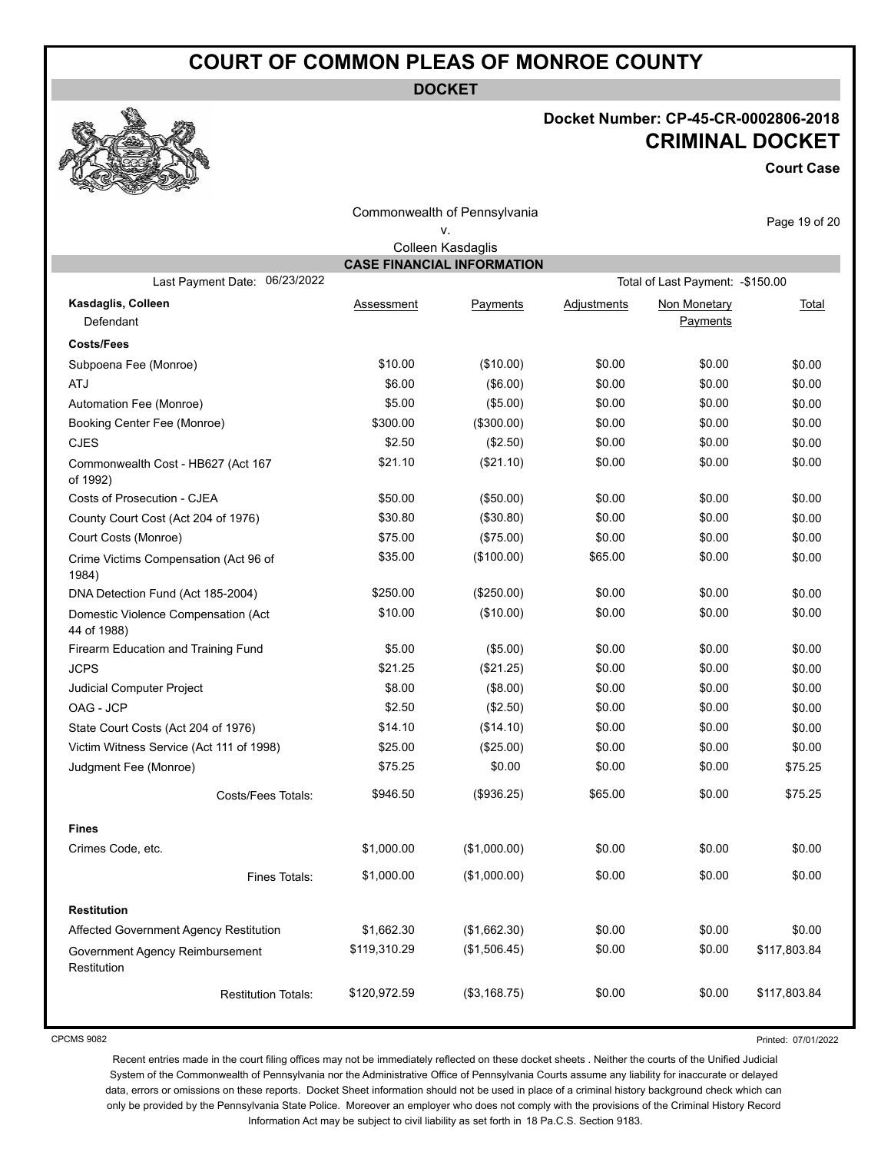**DOCKET**

## **Docket Number: CP-45-CR-0002806-2018 CRIMINAL DOCKET**

**Court Case**

| Commonwealth of Pennsylvania                       |              |                                   |                    | Page 19 of 20                     |              |
|----------------------------------------------------|--------------|-----------------------------------|--------------------|-----------------------------------|--------------|
|                                                    |              | ٧.                                |                    |                                   |              |
|                                                    |              | Colleen Kasdaglis                 |                    |                                   |              |
|                                                    |              | <b>CASE FINANCIAL INFORMATION</b> |                    |                                   |              |
| 06/23/2022<br>Last Payment Date:                   |              |                                   |                    | Total of Last Payment: - \$150.00 |              |
| Kasdaglis, Colleen                                 | Assessment   | Payments                          | <b>Adjustments</b> | Non Monetary                      | <b>Total</b> |
| Defendant                                          |              |                                   |                    | Payments                          |              |
| <b>Costs/Fees</b>                                  |              |                                   |                    |                                   |              |
| Subpoena Fee (Monroe)                              | \$10.00      | (\$10.00)                         | \$0.00             | \$0.00                            | \$0.00       |
| ATJ                                                | \$6.00       | (\$6.00)                          | \$0.00             | \$0.00                            | \$0.00       |
| Automation Fee (Monroe)                            | \$5.00       | (\$5.00)                          | \$0.00             | \$0.00                            | \$0.00       |
| Booking Center Fee (Monroe)                        | \$300.00     | (\$300.00)                        | \$0.00             | \$0.00                            | \$0.00       |
| <b>CJES</b>                                        | \$2.50       | (\$2.50)                          | \$0.00             | \$0.00                            | \$0.00       |
| Commonwealth Cost - HB627 (Act 167<br>of 1992)     | \$21.10      | (\$21.10)                         | \$0.00             | \$0.00                            | \$0.00       |
| Costs of Prosecution - CJEA                        | \$50.00      | (\$50.00)                         | \$0.00             | \$0.00                            | \$0.00       |
| County Court Cost (Act 204 of 1976)                | \$30.80      | (\$30.80)                         | \$0.00             | \$0.00                            | \$0.00       |
| Court Costs (Monroe)                               | \$75.00      | (\$75.00)                         | \$0.00             | \$0.00                            | \$0.00       |
| Crime Victims Compensation (Act 96 of<br>1984)     | \$35.00      | (\$100.00)                        | \$65.00            | \$0.00                            | \$0.00       |
| DNA Detection Fund (Act 185-2004)                  | \$250.00     | (\$250.00)                        | \$0.00             | \$0.00                            | \$0.00       |
| Domestic Violence Compensation (Act<br>44 of 1988) | \$10.00      | (\$10.00)                         | \$0.00             | \$0.00                            | \$0.00       |
| Firearm Education and Training Fund                | \$5.00       | (\$5.00)                          | \$0.00             | \$0.00                            | \$0.00       |
| <b>JCPS</b>                                        | \$21.25      | (\$21.25)                         | \$0.00             | \$0.00                            | \$0.00       |
| Judicial Computer Project                          | \$8.00       | (\$8.00)                          | \$0.00             | \$0.00                            | \$0.00       |
| OAG - JCP                                          | \$2.50       | (\$2.50)                          | \$0.00             | \$0.00                            | \$0.00       |
| State Court Costs (Act 204 of 1976)                | \$14.10      | (\$14.10)                         | \$0.00             | \$0.00                            | \$0.00       |
| Victim Witness Service (Act 111 of 1998)           | \$25.00      | (\$25.00)                         | \$0.00             | \$0.00                            | \$0.00       |
| Judgment Fee (Monroe)                              | \$75.25      | \$0.00                            | \$0.00             | \$0.00                            | \$75.25      |
| Costs/Fees Totals:                                 | \$946.50     | (\$936.25)                        | \$65.00            | \$0.00                            | \$75.25      |
| <b>Fines</b>                                       |              |                                   |                    |                                   |              |
| Crimes Code, etc.                                  | \$1,000.00   | (\$1,000.00)                      | \$0.00             | \$0.00                            | \$0.00       |
| Fines Totals:                                      | \$1,000.00   | (\$1,000.00)                      | \$0.00             | \$0.00                            | \$0.00       |
| <b>Restitution</b>                                 |              |                                   |                    |                                   |              |
| Affected Government Agency Restitution             | \$1,662.30   | (\$1,662.30)                      | \$0.00             | \$0.00                            | \$0.00       |
| Government Agency Reimbursement<br>Restitution     | \$119,310.29 | (\$1,506.45)                      | \$0.00             | \$0.00                            | \$117,803.84 |
| <b>Restitution Totals:</b>                         | \$120,972.59 | (\$3,168.75)                      | \$0.00             | \$0.00                            | \$117,803.84 |

CPCMS 9082

Printed: 07/01/2022